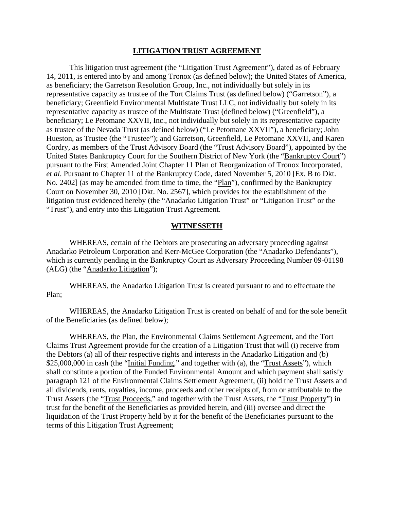#### **LITIGATION TRUST AGREEMENT**

This litigation trust agreement (the "Litigation Trust Agreement"), dated as of February 14, 2011, is entered into by and among Tronox (as defined below); the United States of America, as beneficiary; the Garretson Resolution Group, Inc., not individually but solely in its representative capacity as trustee of the Tort Claims Trust (as defined below) ("Garretson"), a beneficiary; Greenfield Environmental Multistate Trust LLC, not individually but solely in its representative capacity as trustee of the Multistate Trust (defined below) ("Greenfield"), a beneficiary; Le Petomane XXVII, Inc., not individually but solely in its representative capacity as trustee of the Nevada Trust (as defined below) ("Le Petomane XXVII"), a beneficiary; John Hueston, as Trustee (the "Trustee"); and Garretson, Greenfield, Le Petomane XXVII, and Karen Cordry, as members of the Trust Advisory Board (the "Trust Advisory Board"), appointed by the United States Bankruptcy Court for the Southern District of New York (the "Bankruptcy Court") pursuant to the First Amended Joint Chapter 11 Plan of Reorganization of Tronox Incorporated, *et al*. Pursuant to Chapter 11 of the Bankruptcy Code, dated November 5, 2010 [Ex. B to Dkt. No. 2402] (as may be amended from time to time, the "Plan"), confirmed by the Bankruptcy Court on November 30, 2010 [Dkt. No. 2567], which provides for the establishment of the litigation trust evidenced hereby (the "Anadarko Litigation Trust" or "Litigation Trust" or the "Trust"), and entry into this Litigation Trust Agreement.

#### **WITNESSETH**

WHEREAS, certain of the Debtors are prosecuting an adversary proceeding against Anadarko Petroleum Corporation and Kerr-McGee Corporation (the "Anadarko Defendants"), which is currently pending in the Bankruptcy Court as Adversary Proceeding Number 09-01198 (ALG) (the "Anadarko Litigation");

WHEREAS, the Anadarko Litigation Trust is created pursuant to and to effectuate the Plan;

WHEREAS, the Anadarko Litigation Trust is created on behalf of and for the sole benefit of the Beneficiaries (as defined below);

WHEREAS, the Plan, the Environmental Claims Settlement Agreement, and the Tort Claims Trust Agreement provide for the creation of a Litigation Trust that will (i) receive from the Debtors (a) all of their respective rights and interests in the Anadarko Litigation and (b) \$25,000,000 in cash (the "Initial Funding," and together with (a), the "Trust Assets"), which shall constitute a portion of the Funded Environmental Amount and which payment shall satisfy paragraph 121 of the Environmental Claims Settlement Agreement, (ii) hold the Trust Assets and all dividends, rents, royalties, income, proceeds and other receipts of, from or attributable to the Trust Assets (the "Trust Proceeds," and together with the Trust Assets, the "Trust Property") in trust for the benefit of the Beneficiaries as provided herein, and (iii) oversee and direct the liquidation of the Trust Property held by it for the benefit of the Beneficiaries pursuant to the terms of this Litigation Trust Agreement;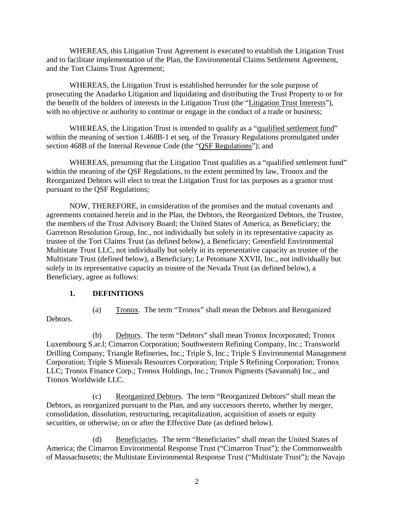WHEREAS, this Litigation Trust Agreement is executed to establish the Litigation Trust and to facilitate implementation of the Plan, the Environmental Claims Settlement Agreement, and the Tort Claims Trust Agreement;

WHEREAS, the Litigation Trust is established hereunder for the sole purpose of prosecuting the Anadarko Litigation and liquidating and distributing the Trust Property to or for the benefit of the holders of interests in the Litigation Trust (the "Litigation Trust Interests"), with no objective or authority to continue or engage in the conduct of a trade or business;

WHEREAS, the Litigation Trust is intended to qualify as a "qualified settlement fund" within the meaning of section 1.468B-1 et seq. of the Treasury Regulations promulgated under section 468B of the Internal Revenue Code (the "QSF Regulations"); and

WHEREAS, presuming that the Litigation Trust qualifies as a "qualified settlement fund" within the meaning of the QSF Regulations, to the extent permitted by law, Tronox and the Reorganized Debtors will elect to treat the Litigation Trust for tax purposes as a grantor trust pursuant to the QSF Regulations;

NOW, THEREFORE, in consideration of the promises and the mutual covenants and agreements contained herein and in the Plan, the Debtors, the Reorganized Debtors, the Trustee, the members of the Trust Advisory Board; the United States of America, as Beneficiary; the Garretson Resolution Group, Inc., not individually but solely in its representative capacity as trustee of the Tort Claims Trust (as defined below), a Beneficiary; Greenfield Environmental Multistate Trust LLC, not individually but solely in its representative capacity as trustee of the Multistate Trust (defined below), a Beneficiary; Le Petomane XXVII, Inc., not individually but solely in its representative capacity as trustee of the Nevada Trust (as defined below), a Beneficiary, agree as follows:

# **1. DEFINITIONS**

Debtors.

(a) Tronox. The term "Tronox" shall mean the Debtors and Reorganized

(b) Debtors. The term "Debtors" shall mean Tronox Incorporated; Tronox Luxembourg S.ar.l; Cimarron Corporation; Southwestern Refining Company, Inc.; Transworld Drilling Company; Triangle Refineries, Inc.; Triple S, Inc.; Triple S Environmental Management Corporation; Triple S Minerals Resources Corporation; Triple S Refining Corporation; Tronox LLC; Tronox Finance Corp.; Tronox Holdings, Inc.; Tronox Pigments (Savannah) Inc., and Tronox Worldwide LLC.

(c) Reorganized Debtors. The term "Reorganized Debtors" shall mean the Debtors, as reorganized pursuant to the Plan, and any successors thereto, whether by merger, consolidation, dissolution, restructuring, recapitalization, acquisition of assets or equity securities, or otherwise, on or after the Effective Date (as defined below).

(d) Beneficiaries. The term "Beneficiaries" shall mean the United States of America; the Cimarron Environmental Response Trust ("Cimarron Trust"); the Commonwealth of Massachusetts; the Multistate Environmental Response Trust ("Multistate Trust"); the Navajo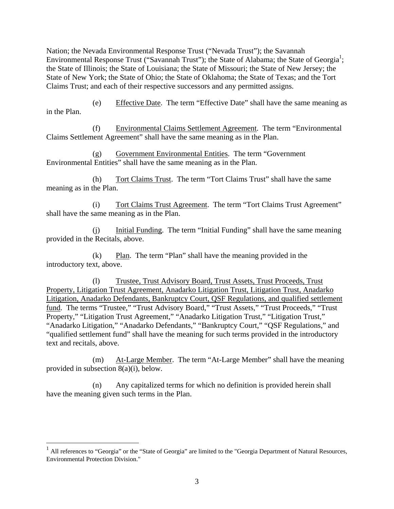Nation; the Nevada Environmental Response Trust ("Nevada Trust"); the Savannah Environmental Response Trust ("Savannah Trust"); the State of Alabama; the State of Georgia<sup>1</sup>; the State of Illinois; the State of Louisiana; the State of Missouri; the State of New Jersey; the State of New York; the State of Ohio; the State of Oklahoma; the State of Texas; and the Tort Claims Trust; and each of their respective successors and any permitted assigns.

(e) Effective Date. The term "Effective Date" shall have the same meaning as in the Plan.

(f) Environmental Claims Settlement Agreement. The term "Environmental Claims Settlement Agreement" shall have the same meaning as in the Plan.

(g) Government Environmental Entities. The term "Government Environmental Entities" shall have the same meaning as in the Plan.

(h) Tort Claims Trust. The term "Tort Claims Trust" shall have the same meaning as in the Plan.

(i) Tort Claims Trust Agreement. The term "Tort Claims Trust Agreement" shall have the same meaning as in the Plan.

(j) Initial Funding. The term "Initial Funding" shall have the same meaning provided in the Recitals, above.

(k) Plan. The term "Plan" shall have the meaning provided in the introductory text, above.

(l) Trustee, Trust Advisory Board, Trust Assets, Trust Proceeds, Trust Property, Litigation Trust Agreement, Anadarko Litigation Trust, Litigation Trust, Anadarko Litigation, Anadarko Defendants, Bankruptcy Court, QSF Regulations, and qualified settlement fund. The terms "Trustee," "Trust Advisory Board," "Trust Assets," "Trust Proceeds," "Trust Property," "Litigation Trust Agreement," "Anadarko Litigation Trust," "Litigation Trust," "Anadarko Litigation," "Anadarko Defendants," "Bankruptcy Court," "QSF Regulations," and "qualified settlement fund" shall have the meaning for such terms provided in the introductory text and recitals, above.

(m) At-Large Member. The term "At-Large Member" shall have the meaning provided in subsection 8(a)(i), below.

(n) Any capitalized terms for which no definition is provided herein shall have the meaning given such terms in the Plan.

 $\overline{a}$ 

 $<sup>1</sup>$  All references to "Georgia" or the "State of Georgia" are limited to the "Georgia Department of Natural Resources,</sup> Environmental Protection Division."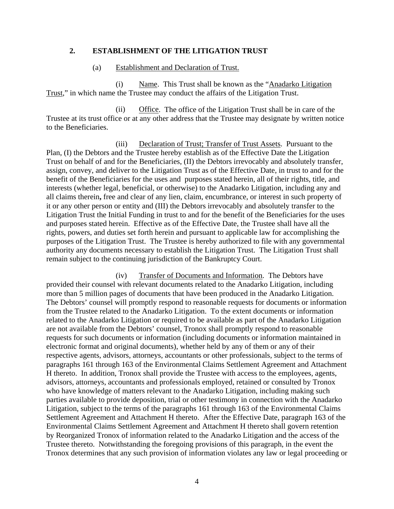#### **2. ESTABLISHMENT OF THE LITIGATION TRUST**

#### (a) Establishment and Declaration of Trust.

(i) Name. This Trust shall be known as the "Anadarko Litigation Trust," in which name the Trustee may conduct the affairs of the Litigation Trust.

(ii) Office. The office of the Litigation Trust shall be in care of the Trustee at its trust office or at any other address that the Trustee may designate by written notice to the Beneficiaries.

(iii) Declaration of Trust; Transfer of Trust Assets. Pursuant to the Plan, (I) the Debtors and the Trustee hereby establish as of the Effective Date the Litigation Trust on behalf of and for the Beneficiaries, (II) the Debtors irrevocably and absolutely transfer, assign, convey, and deliver to the Litigation Trust as of the Effective Date, in trust to and for the benefit of the Beneficiaries for the uses and purposes stated herein, all of their rights, title, and interests (whether legal, beneficial, or otherwise) to the Anadarko Litigation, including any and all claims therein**,** free and clear of any lien, claim, encumbrance, or interest in such property of it or any other person or entity and (III) the Debtors irrevocably and absolutely transfer to the Litigation Trust the Initial Funding in trust to and for the benefit of the Beneficiaries for the uses and purposes stated herein. Effective as of the Effective Date, the Trustee shall have all the rights, powers, and duties set forth herein and pursuant to applicable law for accomplishing the purposes of the Litigation Trust. The Trustee is hereby authorized to file with any governmental authority any documents necessary to establish the Litigation Trust. The Litigation Trust shall remain subject to the continuing jurisdiction of the Bankruptcy Court.

(iv) Transfer of Documents and Information. The Debtors have provided their counsel with relevant documents related to the Anadarko Litigation, including more than 5 million pages of documents that have been produced in the Anadarko Litigation. The Debtors' counsel will promptly respond to reasonable requests for documents or information from the Trustee related to the Anadarko Litigation. To the extent documents or information related to the Anadarko Litigation or required to be available as part of the Anadarko Litigation are not available from the Debtors' counsel, Tronox shall promptly respond to reasonable requests for such documents or information (including documents or information maintained in electronic format and original documents), whether held by any of them or any of their respective agents, advisors, attorneys, accountants or other professionals, subject to the terms of paragraphs 161 through 163 of the Environmental Claims Settlement Agreement and Attachment H thereto. In addition, Tronox shall provide the Trustee with access to the employees, agents, advisors, attorneys, accountants and professionals employed, retained or consulted by Tronox who have knowledge of matters relevant to the Anadarko Litigation, including making such parties available to provide deposition, trial or other testimony in connection with the Anadarko Litigation, subject to the terms of the paragraphs 161 through 163 of the Environmental Claims Settlement Agreement and Attachment H thereto. After the Effective Date, paragraph 163 of the Environmental Claims Settlement Agreement and Attachment H thereto shall govern retention by Reorganized Tronox of information related to the Anadarko Litigation and the access of the Trustee thereto. Notwithstanding the foregoing provisions of this paragraph, in the event the Tronox determines that any such provision of information violates any law or legal proceeding or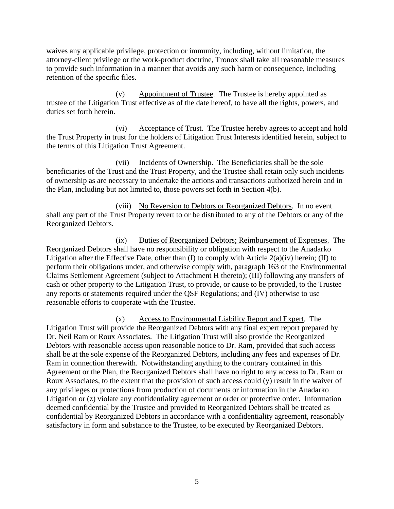waives any applicable privilege, protection or immunity, including, without limitation, the attorney-client privilege or the work-product doctrine, Tronox shall take all reasonable measures to provide such information in a manner that avoids any such harm or consequence, including retention of the specific files.

(v) Appointment of Trustee. The Trustee is hereby appointed as trustee of the Litigation Trust effective as of the date hereof, to have all the rights, powers, and duties set forth herein.

(vi) Acceptance of Trust. The Trustee hereby agrees to accept and hold the Trust Property in trust for the holders of Litigation Trust Interests identified herein, subject to the terms of this Litigation Trust Agreement.

(vii) Incidents of Ownership. The Beneficiaries shall be the sole beneficiaries of the Trust and the Trust Property, and the Trustee shall retain only such incidents of ownership as are necessary to undertake the actions and transactions authorized herein and in the Plan, including but not limited to, those powers set forth in Section 4(b).

(viii) No Reversion to Debtors or Reorganized Debtors. In no event shall any part of the Trust Property revert to or be distributed to any of the Debtors or any of the Reorganized Debtors.

(ix) Duties of Reorganized Debtors; Reimbursement of Expenses. The Reorganized Debtors shall have no responsibility or obligation with respect to the Anadarko Litigation after the Effective Date, other than (I) to comply with Article 2(a)(iv) herein; (II) to perform their obligations under, and otherwise comply with, paragraph 163 of the Environmental Claims Settlement Agreement (subject to Attachment H thereto); (III) following any transfers of cash or other property to the Litigation Trust, to provide, or cause to be provided, to the Trustee any reports or statements required under the QSF Regulations; and (IV) otherwise to use reasonable efforts to cooperate with the Trustee.

(x) Access to Environmental Liability Report and Expert. The Litigation Trust will provide the Reorganized Debtors with any final expert report prepared by Dr. Neil Ram or Roux Associates. The Litigation Trust will also provide the Reorganized Debtors with reasonable access upon reasonable notice to Dr. Ram, provided that such access shall be at the sole expense of the Reorganized Debtors, including any fees and expenses of Dr. Ram in connection therewith. Notwithstanding anything to the contrary contained in this Agreement or the Plan, the Reorganized Debtors shall have no right to any access to Dr. Ram or Roux Associates, to the extent that the provision of such access could (y) result in the waiver of any privileges or protections from production of documents or information in the Anadarko Litigation or (z) violate any confidentiality agreement or order or protective order. Information deemed confidential by the Trustee and provided to Reorganized Debtors shall be treated as confidential by Reorganized Debtors in accordance with a confidentiality agreement, reasonably satisfactory in form and substance to the Trustee, to be executed by Reorganized Debtors.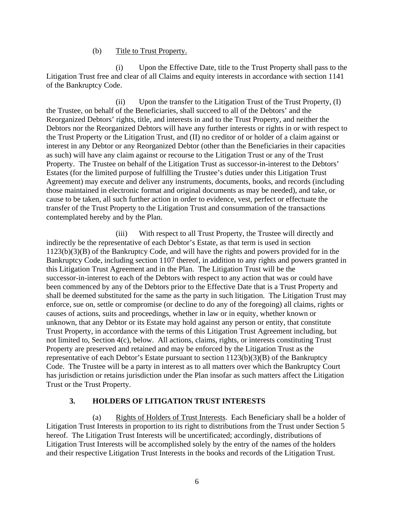#### (b) Title to Trust Property.

(i) Upon the Effective Date, title to the Trust Property shall pass to the Litigation Trust free and clear of all Claims and equity interests in accordance with section 1141 of the Bankruptcy Code.

(ii) Upon the transfer to the Litigation Trust of the Trust Property, (I) the Trustee, on behalf of the Beneficiaries, shall succeed to all of the Debtors' and the Reorganized Debtors' rights, title, and interests in and to the Trust Property, and neither the Debtors nor the Reorganized Debtors will have any further interests or rights in or with respect to the Trust Property or the Litigation Trust, and (II) no creditor of or holder of a claim against or interest in any Debtor or any Reorganized Debtor (other than the Beneficiaries in their capacities as such) will have any claim against or recourse to the Litigation Trust or any of the Trust Property. The Trustee on behalf of the Litigation Trust as successor-in-interest to the Debtors' Estates (for the limited purpose of fulfilling the Trustee's duties under this Litigation Trust Agreement) may execute and deliver any instruments, documents, books, and records (including those maintained in electronic format and original documents as may be needed), and take, or cause to be taken, all such further action in order to evidence, vest, perfect or effectuate the transfer of the Trust Property to the Litigation Trust and consummation of the transactions contemplated hereby and by the Plan.

(iii) With respect to all Trust Property, the Trustee will directly and indirectly be the representative of each Debtor's Estate, as that term is used in section 1123(b)(3)(B) of the Bankruptcy Code, and will have the rights and powers provided for in the Bankruptcy Code, including section 1107 thereof, in addition to any rights and powers granted in this Litigation Trust Agreement and in the Plan. The Litigation Trust will be the successor-in-interest to each of the Debtors with respect to any action that was or could have been commenced by any of the Debtors prior to the Effective Date that is a Trust Property and shall be deemed substituted for the same as the party in such litigation. The Litigation Trust may enforce, sue on, settle or compromise (or decline to do any of the foregoing) all claims, rights or causes of actions, suits and proceedings, whether in law or in equity, whether known or unknown, that any Debtor or its Estate may hold against any person or entity, that constitute Trust Property, in accordance with the terms of this Litigation Trust Agreement including, but not limited to, Section 4(c), below. All actions, claims, rights, or interests constituting Trust Property are preserved and retained and may be enforced by the Litigation Trust as the representative of each Debtor's Estate pursuant to section 1123(b)(3)(B) of the Bankruptcy Code. The Trustee will be a party in interest as to all matters over which the Bankruptcy Court has jurisdiction or retains jurisdiction under the Plan insofar as such matters affect the Litigation Trust or the Trust Property.

# **3. HOLDERS OF LITIGATION TRUST INTERESTS**

(a) Rights of Holders of Trust Interests. Each Beneficiary shall be a holder of Litigation Trust Interests in proportion to its right to distributions from the Trust under Section 5 hereof. The Litigation Trust Interests will be uncertificated; accordingly, distributions of Litigation Trust Interests will be accomplished solely by the entry of the names of the holders and their respective Litigation Trust Interests in the books and records of the Litigation Trust.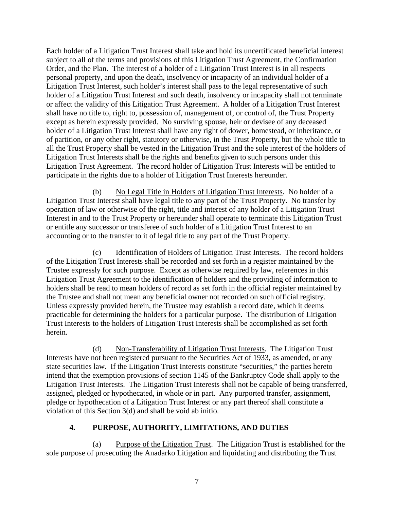Each holder of a Litigation Trust Interest shall take and hold its uncertificated beneficial interest subject to all of the terms and provisions of this Litigation Trust Agreement, the Confirmation Order, and the Plan. The interest of a holder of a Litigation Trust Interest is in all respects personal property, and upon the death, insolvency or incapacity of an individual holder of a Litigation Trust Interest, such holder's interest shall pass to the legal representative of such holder of a Litigation Trust Interest and such death, insolvency or incapacity shall not terminate or affect the validity of this Litigation Trust Agreement. A holder of a Litigation Trust Interest shall have no title to, right to, possession of, management of, or control of, the Trust Property except as herein expressly provided. No surviving spouse, heir or devisee of any deceased holder of a Litigation Trust Interest shall have any right of dower, homestead, or inheritance, or of partition, or any other right, statutory or otherwise, in the Trust Property, but the whole title to all the Trust Property shall be vested in the Litigation Trust and the sole interest of the holders of Litigation Trust Interests shall be the rights and benefits given to such persons under this Litigation Trust Agreement. The record holder of Litigation Trust Interests will be entitled to participate in the rights due to a holder of Litigation Trust Interests hereunder.

(b) No Legal Title in Holders of Litigation Trust Interests. No holder of a Litigation Trust Interest shall have legal title to any part of the Trust Property. No transfer by operation of law or otherwise of the right, title and interest of any holder of a Litigation Trust Interest in and to the Trust Property or hereunder shall operate to terminate this Litigation Trust or entitle any successor or transferee of such holder of a Litigation Trust Interest to an accounting or to the transfer to it of legal title to any part of the Trust Property.

(c) Identification of Holders of Litigation Trust Interests. The record holders of the Litigation Trust Interests shall be recorded and set forth in a register maintained by the Trustee expressly for such purpose. Except as otherwise required by law, references in this Litigation Trust Agreement to the identification of holders and the providing of information to holders shall be read to mean holders of record as set forth in the official register maintained by the Trustee and shall not mean any beneficial owner not recorded on such official registry. Unless expressly provided herein, the Trustee may establish a record date, which it deems practicable for determining the holders for a particular purpose. The distribution of Litigation Trust Interests to the holders of Litigation Trust Interests shall be accomplished as set forth herein.

(d) Non-Transferability of Litigation Trust Interests. The Litigation Trust Interests have not been registered pursuant to the Securities Act of 1933, as amended, or any state securities law. If the Litigation Trust Interests constitute "securities," the parties hereto intend that the exemption provisions of section 1145 of the Bankruptcy Code shall apply to the Litigation Trust Interests. The Litigation Trust Interests shall not be capable of being transferred, assigned, pledged or hypothecated, in whole or in part. Any purported transfer, assignment, pledge or hypothecation of a Litigation Trust Interest or any part thereof shall constitute a violation of this Section 3(d) and shall be void ab initio.

# **4. PURPOSE, AUTHORITY, LIMITATIONS, AND DUTIES**

(a) Purpose of the Litigation Trust. The Litigation Trust is established for the sole purpose of prosecuting the Anadarko Litigation and liquidating and distributing the Trust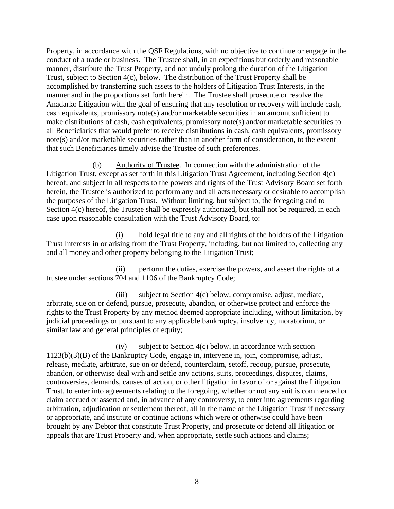Property, in accordance with the QSF Regulations, with no objective to continue or engage in the conduct of a trade or business. The Trustee shall, in an expeditious but orderly and reasonable manner, distribute the Trust Property, and not unduly prolong the duration of the Litigation Trust, subject to Section 4(c), below. The distribution of the Trust Property shall be accomplished by transferring such assets to the holders of Litigation Trust Interests, in the manner and in the proportions set forth herein. The Trustee shall prosecute or resolve the Anadarko Litigation with the goal of ensuring that any resolution or recovery will include cash, cash equivalents, promissory note(s) and/or marketable securities in an amount sufficient to make distributions of cash, cash equivalents, promissory note(s) and/or marketable securities to all Beneficiaries that would prefer to receive distributions in cash, cash equivalents, promissory note(s) and/or marketable securities rather than in another form of consideration, to the extent that such Beneficiaries timely advise the Trustee of such preferences.

(b) Authority of Trustee. In connection with the administration of the Litigation Trust, except as set forth in this Litigation Trust Agreement, including Section 4(c) hereof, and subject in all respects to the powers and rights of the Trust Advisory Board set forth herein, the Trustee is authorized to perform any and all acts necessary or desirable to accomplish the purposes of the Litigation Trust. Without limiting, but subject to, the foregoing and to Section  $4(c)$  hereof, the Trustee shall be expressly authorized, but shall not be required, in each case upon reasonable consultation with the Trust Advisory Board, to:

(i) hold legal title to any and all rights of the holders of the Litigation Trust Interests in or arising from the Trust Property, including, but not limited to, collecting any and all money and other property belonging to the Litigation Trust;

(ii) perform the duties, exercise the powers, and assert the rights of a trustee under sections 704 and 1106 of the Bankruptcy Code;

(iii) subject to Section 4(c) below, compromise, adjust, mediate, arbitrate, sue on or defend, pursue, prosecute, abandon, or otherwise protect and enforce the rights to the Trust Property by any method deemed appropriate including, without limitation, by judicial proceedings or pursuant to any applicable bankruptcy, insolvency, moratorium, or similar law and general principles of equity;

 $(iv)$  subject to Section  $4(c)$  below, in accordance with section 1123(b)(3)(B) of the Bankruptcy Code, engage in, intervene in, join, compromise, adjust, release, mediate, arbitrate, sue on or defend, counterclaim, setoff, recoup, pursue, prosecute, abandon, or otherwise deal with and settle any actions, suits, proceedings, disputes, claims, controversies, demands, causes of action, or other litigation in favor of or against the Litigation Trust, to enter into agreements relating to the foregoing, whether or not any suit is commenced or claim accrued or asserted and, in advance of any controversy, to enter into agreements regarding arbitration, adjudication or settlement thereof, all in the name of the Litigation Trust if necessary or appropriate, and institute or continue actions which were or otherwise could have been brought by any Debtor that constitute Trust Property, and prosecute or defend all litigation or appeals that are Trust Property and, when appropriate, settle such actions and claims;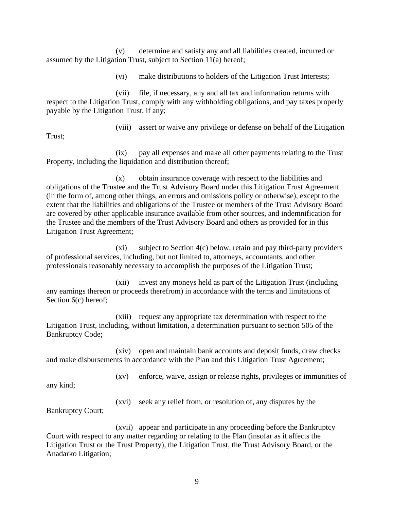(v) determine and satisfy any and all liabilities created, incurred or assumed by the Litigation Trust, subject to Section 11(a) hereof;

(vi) make distributions to holders of the Litigation Trust Interests;

(vii) file, if necessary, any and all tax and information returns with respect to the Litigation Trust, comply with any withholding obligations, and pay taxes properly payable by the Litigation Trust, if any;

Trust;

(viii) assert or waive any privilege or defense on behalf of the Litigation

(ix) pay all expenses and make all other payments relating to the Trust Property, including the liquidation and distribution thereof;

(x) obtain insurance coverage with respect to the liabilities and obligations of the Trustee and the Trust Advisory Board under this Litigation Trust Agreement (in the form of, among other things, an errors and omissions policy or otherwise), except to the extent that the liabilities and obligations of the Trustee or members of the Trust Advisory Board are covered by other applicable insurance available from other sources, and indemnification for the Trustee and the members of the Trust Advisory Board and others as provided for in this Litigation Trust Agreement;

(xi) subject to Section 4(c) below, retain and pay third-party providers of professional services, including, but not limited to, attorneys, accountants, and other professionals reasonably necessary to accomplish the purposes of the Litigation Trust;

(xii) invest any moneys held as part of the Litigation Trust (including any earnings thereon or proceeds therefrom) in accordance with the terms and limitations of Section  $6(c)$  hereof;

(xiii) request any appropriate tax determination with respect to the Litigation Trust, including, without limitation, a determination pursuant to section 505 of the Bankruptcy Code;

(xiv) open and maintain bank accounts and deposit funds, draw checks and make disbursements in accordance with the Plan and this Litigation Trust Agreement;

(xv) enforce, waive, assign or release rights, privileges or immunities of

any kind;

(xvi) seek any relief from, or resolution of, any disputes by the

Bankruptcy Court;

(xvii) appear and participate in any proceeding before the Bankruptcy Court with respect to any matter regarding or relating to the Plan (insofar as it affects the Litigation Trust or the Trust Property), the Litigation Trust, the Trust Advisory Board, or the Anadarko Litigation;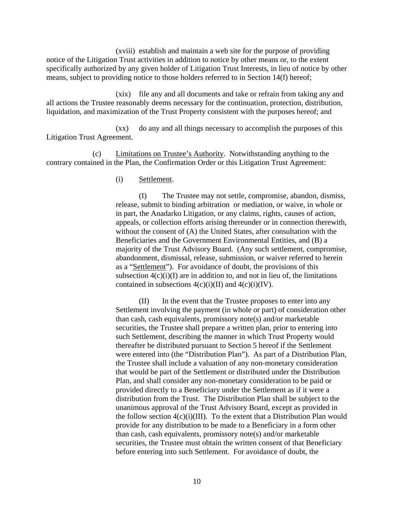(xviii) establish and maintain a web site for the purpose of providing notice of the Litigation Trust activities in addition to notice by other means or, to the extent specifically authorized by any given holder of Litigation Trust Interests, in lieu of notice by other means, subject to providing notice to those holders referred to in Section 14(f) hereof;

(xix) file any and all documents and take or refrain from taking any and all actions the Trustee reasonably deems necessary for the continuation, protection, distribution, liquidation, and maximization of the Trust Property consistent with the purposes hereof; and

(xx) do any and all things necessary to accomplish the purposes of this Litigation Trust Agreement.

(c) Limitations on Trustee's Authority. Notwithstanding anything to the contrary contained in the Plan, the Confirmation Order or this Litigation Trust Agreement:

(i) Settlement.

(I) The Trustee may not settle, compromise, abandon, dismiss, release, submit to binding arbitration or mediation, or waive, in whole or in part, the Anadarko Litigation, or any claims, rights, causes of action, appeals, or collection efforts arising thereunder or in connection therewith, without the consent of (A) the United States, after consultation with the Beneficiaries and the Government Environmental Entities, and (B) a majority of the Trust Advisory Board. (Any such settlement, compromise, abandonment, dismissal, release, submission, or waiver referred to herein as a "Settlement"). For avoidance of doubt, the provisions of this subsection  $4(c)(i)(I)$  are in addition to, and not in lieu of, the limitations contained in subsections  $4(c)(i)(II)$  and  $4(c)(i)(IV)$ .

(II) In the event that the Trustee proposes to enter into any Settlement involving the payment (in whole or part) of consideration other than cash, cash equivalents, promissory note(s) and/or marketable securities, the Trustee shall prepare a written plan, prior to entering into such Settlement, describing the manner in which Trust Property would thereafter be distributed pursuant to Section 5 hereof if the Settlement were entered into (the "Distribution Plan"). As part of a Distribution Plan, the Trustee shall include a valuation of any non-monetary consideration that would be part of the Settlement or distributed under the Distribution Plan, and shall consider any non-monetary consideration to be paid or provided directly to a Beneficiary under the Settlement as if it were a distribution from the Trust. The Distribution Plan shall be subject to the unanimous approval of the Trust Advisory Board, except as provided in the follow section  $4(c)(i)(III)$ . To the extent that a Distribution Plan would provide for any distribution to be made to a Beneficiary in a form other than cash, cash equivalents, promissory note(s) and/or marketable securities, the Trustee must obtain the written consent of that Beneficiary before entering into such Settlement. For avoidance of doubt, the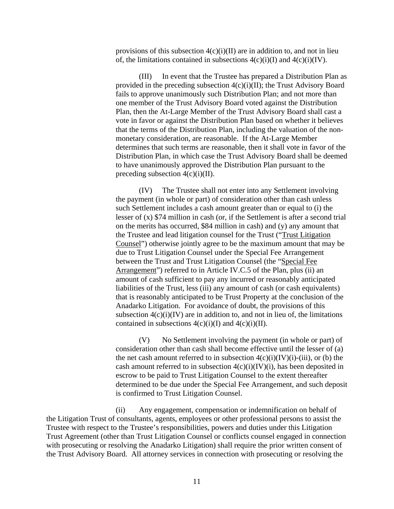provisions of this subsection  $4(c)(i)(II)$  are in addition to, and not in lieu of, the limitations contained in subsections  $4(c)(i)(I)$  and  $4(c)(i)(IV)$ .

(III) In event that the Trustee has prepared a Distribution Plan as provided in the preceding subsection  $4(c)(i)(II)$ ; the Trust Advisory Board fails to approve unanimously such Distribution Plan; and not more than one member of the Trust Advisory Board voted against the Distribution Plan, then the At-Large Member of the Trust Advisory Board shall cast a vote in favor or against the Distribution Plan based on whether it believes that the terms of the Distribution Plan, including the valuation of the nonmonetary consideration, are reasonable. If the At-Large Member determines that such terms are reasonable, then it shall vote in favor of the Distribution Plan, in which case the Trust Advisory Board shall be deemed to have unanimously approved the Distribution Plan pursuant to the preceding subsection  $4(c)(i)(II)$ .

(IV) The Trustee shall not enter into any Settlement involving the payment (in whole or part) of consideration other than cash unless such Settlement includes a cash amount greater than or equal to (i) the lesser of (x) \$74 million in cash (or, if the Settlement is after a second trial on the merits has occurred, \$84 million in cash) and (y) any amount that the Trustee and lead litigation counsel for the Trust ("Trust Litigation Counsel") otherwise jointly agree to be the maximum amount that may be due to Trust Litigation Counsel under the Special Fee Arrangement between the Trust and Trust Litigation Counsel (the "Special Fee Arrangement") referred to in Article IV.C.5 of the Plan, plus (ii) an amount of cash sufficient to pay any incurred or reasonably anticipated liabilities of the Trust, less (iii) any amount of cash (or cash equivalents) that is reasonably anticipated to be Trust Property at the conclusion of the Anadarko Litigation. For avoidance of doubt, the provisions of this subsection  $4(c)(i)(IV)$  are in addition to, and not in lieu of, the limitations contained in subsections  $4(c)(i)(I)$  and  $4(c)(i)(II)$ .

(V) No Settlement involving the payment (in whole or part) of consideration other than cash shall become effective until the lesser of (a) the net cash amount referred to in subsection  $4(c)(i)(IV)(i)-(iii)$ , or (b) the cash amount referred to in subsection  $4(c)(i)(IV)(i)$ , has been deposited in escrow to be paid to Trust Litigation Counsel to the extent thereafter determined to be due under the Special Fee Arrangement, and such deposit is confirmed to Trust Litigation Counsel.

(ii) Any engagement, compensation or indemnification on behalf of the Litigation Trust of consultants, agents, employees or other professional persons to assist the Trustee with respect to the Trustee's responsibilities, powers and duties under this Litigation Trust Agreement (other than Trust Litigation Counsel or conflicts counsel engaged in connection with prosecuting or resolving the Anadarko Litigation) shall require the prior written consent of the Trust Advisory Board. All attorney services in connection with prosecuting or resolving the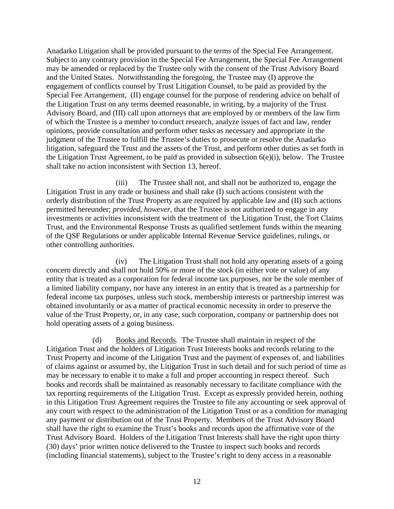Anadarko Litigation shall be provided pursuant to the terms of the Special Fee Arrangement. Subject to any contrary provision in the Special Fee Arrangement, the Special Fee Arrangement may be amended or replaced by the Trustee only with the consent of the Trust Advisory Board and the United States. Notwithstanding the foregoing, the Trustee may (I) approve the engagement of conflicts counsel by Trust Litigation Counsel, to be paid as provided by the Special Fee Arrangement, (II) engage counsel for the purpose of rendering advice on behalf of the Litigation Trust on any terms deemed reasonable, in writing, by a majority of the Trust Advisory Board, and (III) call upon attorneys that are employed by or members of the law firm of which the Trustee is a member to conduct research, analyze issues of fact and law, render opinions, provide consultation and perform other tasks as necessary and appropriate in the judgment of the Trustee to fulfill the Trustee's duties to prosecute or resolve the Anadarko litigation, safeguard the Trust and the assets of the Trust, and perform other duties as set forth in the Litigation Trust Agreement, to be paid as provided in subsection  $6(e)(i)$ , below. The Trustee shall take no action inconsistent with Section 13, hereof.

(iii) The Trustee shall not, and shall not be authorized to, engage the Litigation Trust in any trade or business and shall take (I) such actions consistent with the orderly distribution of the Trust Property as are required by applicable law and (II) such actions permitted hereunder; *provided*, *however*, that the Trustee is not authorized to engage in any investments or activities inconsistent with the treatment of the Litigation Trust, the Tort Claims Trust, and the Environmental Response Trusts as qualified settlement funds within the meaning of the QSF Regulations or under applicable Internal Revenue Service guidelines, rulings, or other controlling authorities.

(iv) The Litigation Trust shall not hold any operating assets of a going concern directly and shall not hold 50% or more of the stock (in either vote or value) of any entity that is treated as a corporation for federal income tax purposes, nor be the sole member of a limited liability company, nor have any interest in an entity that is treated as a partnership for federal income tax purposes, unless such stock, membership interests or partnership interest was obtained involuntarily or as a matter of practical economic necessity in order to preserve the value of the Trust Property, or, in any case, such corporation, company or partnership does not hold operating assets of a going business.

(d) Books and Records. The Trustee shall maintain in respect of the Litigation Trust and the holders of Litigation Trust Interests books and records relating to the Trust Property and income of the Litigation Trust and the payment of expenses of, and liabilities of claims against or assumed by, the Litigation Trust in such detail and for such period of time as may be necessary to enable it to make a full and proper accounting in respect thereof. Such books and records shall be maintained as reasonably necessary to facilitate compliance with the tax reporting requirements of the Litigation Trust. Except as expressly provided herein, nothing in this Litigation Trust Agreement requires the Trustee to file any accounting or seek approval of any court with respect to the administration of the Litigation Trust or as a condition for managing any payment or distribution out of the Trust Property. Members of the Trust Advisory Board shall have the right to examine the Trust's books and records upon the affirmative vote of the Trust Advisory Board. Holders of the Litigation Trust Interests shall have the right upon thirty (30) days' prior written notice delivered to the Trustee to inspect such books and records (including financial statements), subject to the Trustee's right to deny access in a reasonable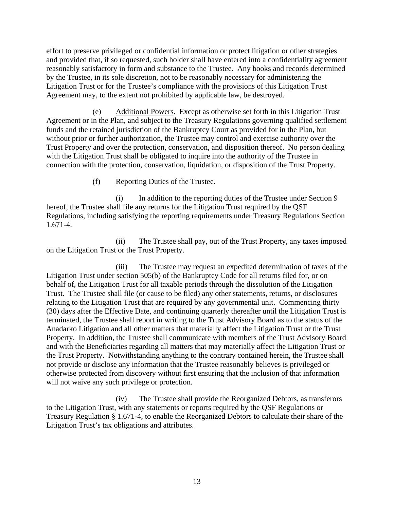effort to preserve privileged or confidential information or protect litigation or other strategies and provided that, if so requested, such holder shall have entered into a confidentiality agreement reasonably satisfactory in form and substance to the Trustee. Any books and records determined by the Trustee, in its sole discretion, not to be reasonably necessary for administering the Litigation Trust or for the Trustee's compliance with the provisions of this Litigation Trust Agreement may, to the extent not prohibited by applicable law, be destroyed.

(e) Additional Powers. Except as otherwise set forth in this Litigation Trust Agreement or in the Plan, and subject to the Treasury Regulations governing qualified settlement funds and the retained jurisdiction of the Bankruptcy Court as provided for in the Plan, but without prior or further authorization, the Trustee may control and exercise authority over the Trust Property and over the protection, conservation, and disposition thereof. No person dealing with the Litigation Trust shall be obligated to inquire into the authority of the Trustee in connection with the protection, conservation, liquidation, or disposition of the Trust Property.

# (f) Reporting Duties of the Trustee.

(i) In addition to the reporting duties of the Trustee under Section 9 hereof, the Trustee shall file any returns for the Litigation Trust required by the QSF Regulations, including satisfying the reporting requirements under Treasury Regulations Section 1.671-4.

(ii) The Trustee shall pay, out of the Trust Property, any taxes imposed on the Litigation Trust or the Trust Property.

(iii) The Trustee may request an expedited determination of taxes of the Litigation Trust under section 505(b) of the Bankruptcy Code for all returns filed for, or on behalf of, the Litigation Trust for all taxable periods through the dissolution of the Litigation Trust. The Trustee shall file (or cause to be filed) any other statements, returns, or disclosures relating to the Litigation Trust that are required by any governmental unit. Commencing thirty (30) days after the Effective Date, and continuing quarterly thereafter until the Litigation Trust is terminated, the Trustee shall report in writing to the Trust Advisory Board as to the status of the Anadarko Litigation and all other matters that materially affect the Litigation Trust or the Trust Property. In addition, the Trustee shall communicate with members of the Trust Advisory Board and with the Beneficiaries regarding all matters that may materially affect the Litigation Trust or the Trust Property. Notwithstanding anything to the contrary contained herein, the Trustee shall not provide or disclose any information that the Trustee reasonably believes is privileged or otherwise protected from discovery without first ensuring that the inclusion of that information will not waive any such privilege or protection.

(iv) The Trustee shall provide the Reorganized Debtors, as transferors to the Litigation Trust, with any statements or reports required by the QSF Regulations or Treasury Regulation § 1.671-4, to enable the Reorganized Debtors to calculate their share of the Litigation Trust's tax obligations and attributes.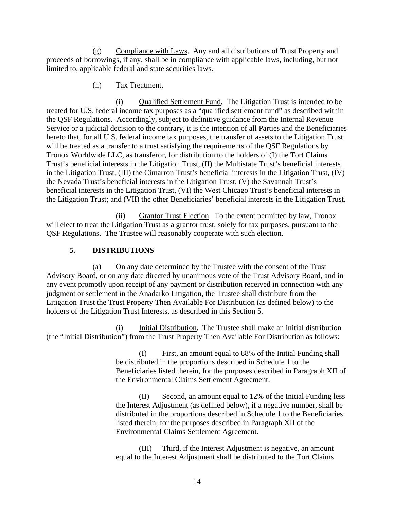(g) Compliance with Laws. Any and all distributions of Trust Property and proceeds of borrowings, if any, shall be in compliance with applicable laws, including, but not limited to, applicable federal and state securities laws.

#### (h) Tax Treatment.

(i) Qualified Settlement Fund. The Litigation Trust is intended to be treated for U.S. federal income tax purposes as a "qualified settlement fund" as described within the QSF Regulations. Accordingly, subject to definitive guidance from the Internal Revenue Service or a judicial decision to the contrary, it is the intention of all Parties and the Beneficiaries hereto that, for all U.S. federal income tax purposes, the transfer of assets to the Litigation Trust will be treated as a transfer to a trust satisfying the requirements of the QSF Regulations by Tronox Worldwide LLC, as transferor, for distribution to the holders of (I) the Tort Claims Trust's beneficial interests in the Litigation Trust, (II) the Multistate Trust's beneficial interests in the Litigation Trust, (III) the Cimarron Trust's beneficial interests in the Litigation Trust, (IV) the Nevada Trust's beneficial interests in the Litigation Trust, (V) the Savannah Trust's beneficial interests in the Litigation Trust, (VI) the West Chicago Trust's beneficial interests in the Litigation Trust; and (VII) the other Beneficiaries' beneficial interests in the Litigation Trust.

(ii) Grantor Trust Election. To the extent permitted by law, Tronox will elect to treat the Litigation Trust as a grantor trust, solely for tax purposes, pursuant to the QSF Regulations. The Trustee will reasonably cooperate with such election.

# **5. DISTRIBUTIONS**

(a) On any date determined by the Trustee with the consent of the Trust Advisory Board, or on any date directed by unanimous vote of the Trust Advisory Board, and in any event promptly upon receipt of any payment or distribution received in connection with any judgment or settlement in the Anadarko Litigation, the Trustee shall distribute from the Litigation Trust the Trust Property Then Available For Distribution (as defined below) to the holders of the Litigation Trust Interests, as described in this Section 5.

(i) Initial Distribution. The Trustee shall make an initial distribution (the "Initial Distribution") from the Trust Property Then Available For Distribution as follows:

> (I) First, an amount equal to 88% of the Initial Funding shall be distributed in the proportions described in Schedule 1 to the Beneficiaries listed therein, for the purposes described in Paragraph XII of the Environmental Claims Settlement Agreement.

> (II) Second, an amount equal to 12% of the Initial Funding less the Interest Adjustment (as defined below), if a negative number, shall be distributed in the proportions described in Schedule 1 to the Beneficiaries listed therein, for the purposes described in Paragraph XII of the Environmental Claims Settlement Agreement.

(III) Third, if the Interest Adjustment is negative, an amount equal to the Interest Adjustment shall be distributed to the Tort Claims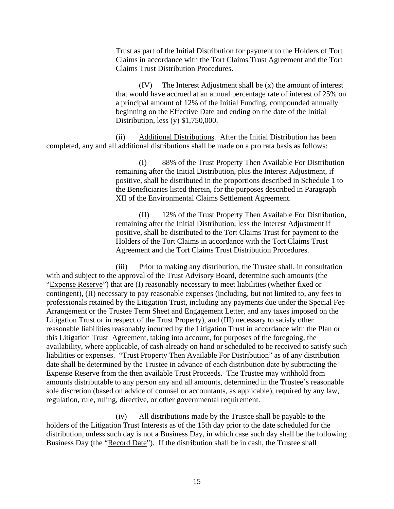Trust as part of the Initial Distribution for payment to the Holders of Tort Claims in accordance with the Tort Claims Trust Agreement and the Tort Claims Trust Distribution Procedures.

(IV) The Interest Adjustment shall be (x) the amount of interest that would have accrued at an annual percentage rate of interest of 25% on a principal amount of 12% of the Initial Funding, compounded annually beginning on the Effective Date and ending on the date of the Initial Distribution, less (y) \$1,750,000.

(ii) Additional Distributions. After the Initial Distribution has been completed, any and all additional distributions shall be made on a pro rata basis as follows:

> (I) 88% of the Trust Property Then Available For Distribution remaining after the Initial Distribution, plus the Interest Adjustment, if positive, shall be distributed in the proportions described in Schedule 1 to the Beneficiaries listed therein, for the purposes described in Paragraph XII of the Environmental Claims Settlement Agreement.

> (II) 12% of the Trust Property Then Available For Distribution, remaining after the Initial Distribution, less the Interest Adjustment if positive, shall be distributed to the Tort Claims Trust for payment to the Holders of the Tort Claims in accordance with the Tort Claims Trust Agreement and the Tort Claims Trust Distribution Procedures.

(iii) Prior to making any distribution, the Trustee shall, in consultation with and subject to the approval of the Trust Advisory Board, determine such amounts (the "Expense Reserve") that are (I) reasonably necessary to meet liabilities (whether fixed or contingent), (II) necessary to pay reasonable expenses (including, but not limited to, any fees to professionals retained by the Litigation Trust, including any payments due under the Special Fee Arrangement or the Trustee Term Sheet and Engagement Letter, and any taxes imposed on the Litigation Trust or in respect of the Trust Property), and (III) necessary to satisfy other reasonable liabilities reasonably incurred by the Litigation Trust in accordance with the Plan or this Litigation Trust Agreement, taking into account, for purposes of the foregoing, the availability, where applicable, of cash already on hand or scheduled to be received to satisfy such liabilities or expenses. "Trust Property Then Available For Distribution" as of any distribution date shall be determined by the Trustee in advance of each distribution date by subtracting the Expense Reserve from the then available Trust Proceeds. The Trustee may withhold from amounts distributable to any person any and all amounts, determined in the Trustee's reasonable sole discretion (based on advice of counsel or accountants, as applicable), required by any law, regulation, rule, ruling, directive, or other governmental requirement.

(iv) All distributions made by the Trustee shall be payable to the holders of the Litigation Trust Interests as of the 15th day prior to the date scheduled for the distribution, unless such day is not a Business Day, in which case such day shall be the following Business Day (the "Record Date"). If the distribution shall be in cash, the Trustee shall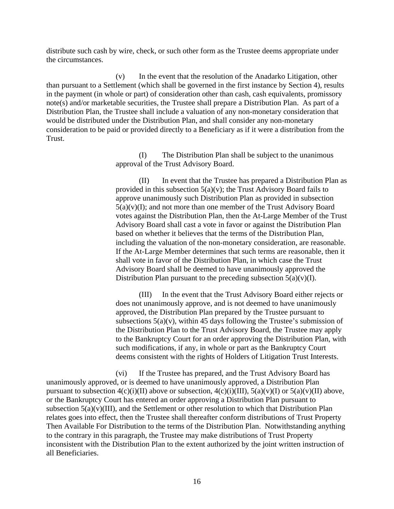distribute such cash by wire, check, or such other form as the Trustee deems appropriate under the circumstances.

(v) In the event that the resolution of the Anadarko Litigation, other than pursuant to a Settlement (which shall be governed in the first instance by Section 4), results in the payment (in whole or part) of consideration other than cash, cash equivalents, promissory note(s) and/or marketable securities, the Trustee shall prepare a Distribution Plan. As part of a Distribution Plan, the Trustee shall include a valuation of any non-monetary consideration that would be distributed under the Distribution Plan, and shall consider any non-monetary consideration to be paid or provided directly to a Beneficiary as if it were a distribution from the Trust.

> (I) The Distribution Plan shall be subject to the unanimous approval of the Trust Advisory Board.

(II) In event that the Trustee has prepared a Distribution Plan as provided in this subsection  $5(a)(v)$ ; the Trust Advisory Board fails to approve unanimously such Distribution Plan as provided in subsection  $5(a)(v)(I)$ ; and not more than one member of the Trust Advisory Board votes against the Distribution Plan, then the At-Large Member of the Trust Advisory Board shall cast a vote in favor or against the Distribution Plan based on whether it believes that the terms of the Distribution Plan, including the valuation of the non-monetary consideration, are reasonable. If the At-Large Member determines that such terms are reasonable, then it shall vote in favor of the Distribution Plan, in which case the Trust Advisory Board shall be deemed to have unanimously approved the Distribution Plan pursuant to the preceding subsection  $5(a)(v)(I)$ .

(III) In the event that the Trust Advisory Board either rejects or does not unanimously approve, and is not deemed to have unanimously approved, the Distribution Plan prepared by the Trustee pursuant to subsections  $5(a)(v)$ , within 45 days following the Trustee's submission of the Distribution Plan to the Trust Advisory Board, the Trustee may apply to the Bankruptcy Court for an order approving the Distribution Plan, with such modifications, if any, in whole or part as the Bankruptcy Court deems consistent with the rights of Holders of Litigation Trust Interests.

(vi) If the Trustee has prepared, and the Trust Advisory Board has unanimously approved, or is deemed to have unanimously approved, a Distribution Plan pursuant to subsection  $4(c)(i)(II)$  above or subsection,  $4(c)(i)(III)$ ,  $5(a)(v)(I)$  or  $5(a)(v)(II)$  above, or the Bankruptcy Court has entered an order approving a Distribution Plan pursuant to subsection  $5(a)(v)$ (III), and the Settlement or other resolution to which that Distribution Plan relates goes into effect, then the Trustee shall thereafter conform distributions of Trust Property Then Available For Distribution to the terms of the Distribution Plan. Notwithstanding anything to the contrary in this paragraph, the Trustee may make distributions of Trust Property inconsistent with the Distribution Plan to the extent authorized by the joint written instruction of all Beneficiaries.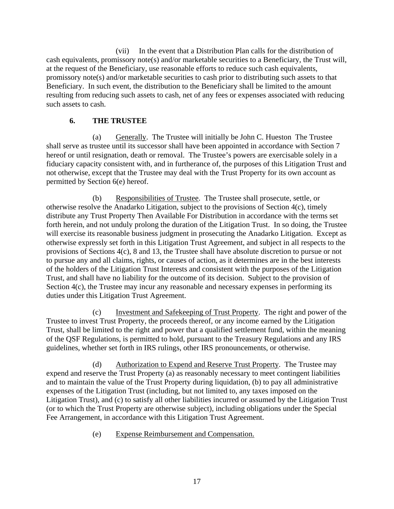(vii) In the event that a Distribution Plan calls for the distribution of cash equivalents, promissory note(s) and/or marketable securities to a Beneficiary, the Trust will, at the request of the Beneficiary, use reasonable efforts to reduce such cash equivalents, promissory note(s) and/or marketable securities to cash prior to distributing such assets to that Beneficiary. In such event, the distribution to the Beneficiary shall be limited to the amount resulting from reducing such assets to cash, net of any fees or expenses associated with reducing such assets to cash.

# **6. THE TRUSTEE**

(a) Generally. The Trustee will initially be John C. Hueston The Trustee shall serve as trustee until its successor shall have been appointed in accordance with Section 7 hereof or until resignation, death or removal. The Trustee's powers are exercisable solely in a fiduciary capacity consistent with, and in furtherance of, the purposes of this Litigation Trust and not otherwise, except that the Trustee may deal with the Trust Property for its own account as permitted by Section 6(e) hereof.

(b) Responsibilities of Trustee. The Trustee shall prosecute, settle, or otherwise resolve the Anadarko Litigation, subject to the provisions of Section 4(c), timely distribute any Trust Property Then Available For Distribution in accordance with the terms set forth herein, and not unduly prolong the duration of the Litigation Trust. In so doing, the Trustee will exercise its reasonable business judgment in prosecuting the Anadarko Litigation. Except as otherwise expressly set forth in this Litigation Trust Agreement, and subject in all respects to the provisions of Sections 4(c), 8 and 13, the Trustee shall have absolute discretion to pursue or not to pursue any and all claims, rights, or causes of action, as it determines are in the best interests of the holders of the Litigation Trust Interests and consistent with the purposes of the Litigation Trust, and shall have no liability for the outcome of its decision. Subject to the provision of Section 4(c), the Trustee may incur any reasonable and necessary expenses in performing its duties under this Litigation Trust Agreement.

(c) Investment and Safekeeping of Trust Property. The right and power of the Trustee to invest Trust Property, the proceeds thereof, or any income earned by the Litigation Trust, shall be limited to the right and power that a qualified settlement fund, within the meaning of the QSF Regulations, is permitted to hold, pursuant to the Treasury Regulations and any IRS guidelines, whether set forth in IRS rulings, other IRS pronouncements, or otherwise.

(d) Authorization to Expend and Reserve Trust Property. The Trustee may expend and reserve the Trust Property (a) as reasonably necessary to meet contingent liabilities and to maintain the value of the Trust Property during liquidation, (b) to pay all administrative expenses of the Litigation Trust (including, but not limited to, any taxes imposed on the Litigation Trust), and (c) to satisfy all other liabilities incurred or assumed by the Litigation Trust (or to which the Trust Property are otherwise subject), including obligations under the Special Fee Arrangement, in accordance with this Litigation Trust Agreement.

(e) Expense Reimbursement and Compensation.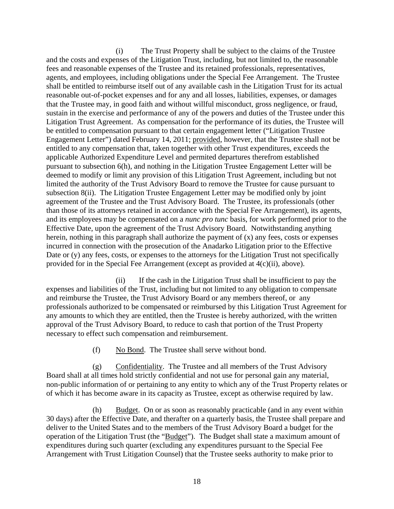(i) The Trust Property shall be subject to the claims of the Trustee and the costs and expenses of the Litigation Trust, including, but not limited to, the reasonable fees and reasonable expenses of the Trustee and its retained professionals, representatives, agents, and employees, including obligations under the Special Fee Arrangement. The Trustee shall be entitled to reimburse itself out of any available cash in the Litigation Trust for its actual reasonable out-of-pocket expenses and for any and all losses, liabilities, expenses, or damages that the Trustee may, in good faith and without willful misconduct, gross negligence, or fraud, sustain in the exercise and performance of any of the powers and duties of the Trustee under this Litigation Trust Agreement. As compensation for the performance of its duties, the Trustee will be entitled to compensation pursuant to that certain engagement letter ("Litigation Trustee Engagement Letter") dated February 14, 2011; provided, however, that the Trustee shall not be entitled to any compensation that, taken together with other Trust expenditures, exceeds the applicable Authorized Expenditure Level and permited departures therefrom established pursuant to subsection 6(h), and nothing in the Litigation Trustee Engagement Letter will be deemed to modify or limit any provision of this Litigation Trust Agreement, including but not limited the authority of the Trust Advisory Board to remove the Trustee for cause pursuant to subsection 8(ii). The Litigation Trustee Engagement Letter may be modified only by joint agreement of the Trustee and the Trust Advisory Board. The Trustee, its professionals (other than those of its attorneys retained in accordance with the Special Fee Arrangement), its agents, and its employees may be compensated on a *nunc pro tunc* basis, for work performed prior to the Effective Date, upon the agreement of the Trust Advisory Board. Notwithstanding anything herein, nothing in this paragraph shall authorize the payment of  $(x)$  any fees, costs or expenses incurred in connection with the prosecution of the Anadarko Litigation prior to the Effective Date or (y) any fees, costs, or expenses to the attorneys for the Litigation Trust not specifically provided for in the Special Fee Arrangement (except as provided at 4(c)(ii), above).

(ii) If the cash in the Litigation Trust shall be insufficient to pay the expenses and liabilities of the Trust, including but not limited to any obligation to compensate and reimburse the Trustee, the Trust Advisory Board or any members thereof, or any professionals authorized to be compensated or reimbursed by this Litigation Trust Agreement for any amounts to which they are entitled, then the Trustee is hereby authorized, with the written approval of the Trust Advisory Board, to reduce to cash that portion of the Trust Property necessary to effect such compensation and reimbursement.

(f) No Bond. The Trustee shall serve without bond.

(g) Confidentiality. The Trustee and all members of the Trust Advisory Board shall at all times hold strictly confidential and not use for personal gain any material, non-public information of or pertaining to any entity to which any of the Trust Property relates or of which it has become aware in its capacity as Trustee, except as otherwise required by law.

(h) Budget. On or as soon as reasonably practicable (and in any event within 30 days) after the Effective Date, and therafter on a quarterly basis, the Trustee shall prepare and deliver to the United States and to the members of the Trust Advisory Board a budget for the operation of the Litigation Trust (the "Budget"). The Budget shall state a maximum amount of expenditures during such quarter (excluding any expenditures pursuant to the Special Fee Arrangement with Trust Litigation Counsel) that the Trustee seeks authority to make prior to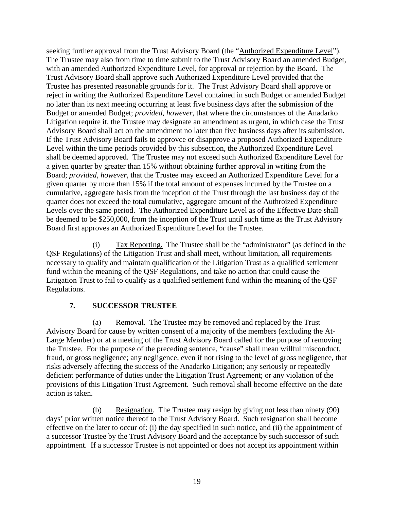seeking further approval from the Trust Advisory Board (the "Authorized Expenditure Level"). The Trustee may also from time to time submit to the Trust Advisory Board an amended Budget, with an amended Authorized Expenditure Level, for approval or rejection by the Board. The Trust Advisory Board shall approve such Authorized Expenditure Level provided that the Trustee has presented reasonable grounds for it. The Trust Advisory Board shall approve or reject in writing the Authorized Expenditure Level contained in such Budget or amended Budget no later than its next meeting occurring at least five business days after the submission of the Budget or amended Budget; *provided, however*, that where the circumstances of the Anadarko Litigation require it, the Trustee may designate an amendment as urgent, in which case the Trust Advisory Board shall act on the amendment no later than five business days after its submission. If the Trust Advisory Board fails to approvce or disapprove a proposed Authorized Expenditure Level within the time periods provided by this subsection, the Authorized Expenditure Level shall be deemed approved. The Trustee may not exceed such Authorized Expenditure Level for a given quarter by greater than 15% without obtaining further approval in writing from the Board; *provided, however*, that the Trustee may exceed an Authorized Expenditure Level for a given quarter by more than 15% if the total amount of expenses incurred by the Trustee on a cumulative, aggregate basis from the inception of the Trust through the last business day of the quarter does not exceed the total cumulative, aggregate amount of the Authroized Expenditure Levels over the same period. The Authorized Expenditure Level as of the Effective Date shall be deemed to be \$250,000, from the inception of the Trust until such time as the Trust Advisory Board first approves an Authorized Expenditure Level for the Trustee.

(i) Tax Reporting. The Trustee shall be the "administrator" (as defined in the QSF Regulations) of the Litigation Trust and shall meet, without limitation, all requirements necessary to qualify and maintain qualification of the Litigation Trust as a qualified settlement fund within the meaning of the QSF Regulations, and take no action that could cause the Litigation Trust to fail to qualify as a qualified settlement fund within the meaning of the QSF Regulations.

# **7. SUCCESSOR TRUSTEE**

(a) Removal. The Trustee may be removed and replaced by the Trust Advisory Board for cause by written consent of a majority of the members (excluding the At-Large Member) or at a meeting of the Trust Advisory Board called for the purpose of removing the Trustee. For the purpose of the preceding sentence, "cause" shall mean willful misconduct, fraud, or gross negligence; any negligence, even if not rising to the level of gross negligence, that risks adversely affecting the success of the Anadarko Litigation; any seriously or repeatedly deficient performance of duties under the Litigation Trust Agreement; or any violation of the provisions of this Litigation Trust Agreement. Such removal shall become effective on the date action is taken.

(b) Resignation. The Trustee may resign by giving not less than ninety (90) days' prior written notice thereof to the Trust Advisory Board. Such resignation shall become effective on the later to occur of: (i) the day specified in such notice, and (ii) the appointment of a successor Trustee by the Trust Advisory Board and the acceptance by such successor of such appointment. If a successor Trustee is not appointed or does not accept its appointment within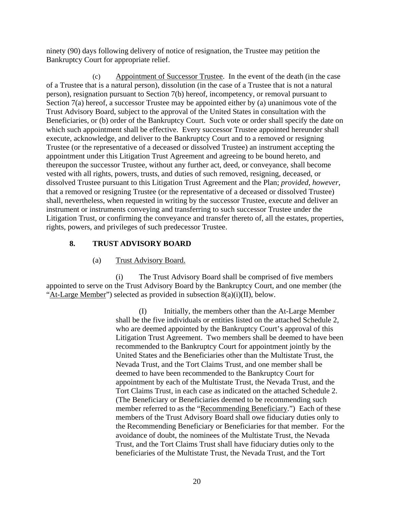ninety (90) days following delivery of notice of resignation, the Trustee may petition the Bankruptcy Court for appropriate relief.

(c) Appointment of Successor Trustee. In the event of the death (in the case of a Trustee that is a natural person), dissolution (in the case of a Trustee that is not a natural person), resignation pursuant to Section 7(b) hereof, incompetency, or removal pursuant to Section 7(a) hereof, a successor Trustee may be appointed either by (a) unanimous vote of the Trust Advisory Board, subject to the approval of the United States in consultation with the Beneficiaries, or (b) order of the Bankruptcy Court. Such vote or order shall specify the date on which such appointment shall be effective. Every successor Trustee appointed hereunder shall execute, acknowledge, and deliver to the Bankruptcy Court and to a removed or resigning Trustee (or the representative of a deceased or dissolved Trustee) an instrument accepting the appointment under this Litigation Trust Agreement and agreeing to be bound hereto, and thereupon the successor Trustee, without any further act, deed, or conveyance, shall become vested with all rights, powers, trusts, and duties of such removed, resigning, deceased, or dissolved Trustee pursuant to this Litigation Trust Agreement and the Plan; *provided*, *however*, that a removed or resigning Trustee (or the representative of a deceased or dissolved Trustee) shall, nevertheless, when requested in writing by the successor Trustee, execute and deliver an instrument or instruments conveying and transferring to such successor Trustee under the Litigation Trust, or confirming the conveyance and transfer thereto of, all the estates, properties, rights, powers, and privileges of such predecessor Trustee.

# **8. TRUST ADVISORY BOARD**

#### (a) Trust Advisory Board.

(i) The Trust Advisory Board shall be comprised of five members appointed to serve on the Trust Advisory Board by the Bankruptcy Court, and one member (the "At-Large Member") selected as provided in subsection 8(a)(i)(II), below.

> (I) Initially, the members other than the At-Large Member shall be the five individuals or entities listed on the attached Schedule 2, who are deemed appointed by the Bankruptcy Court's approval of this Litigation Trust Agreement. Two members shall be deemed to have been recommended to the Bankruptcy Court for appointment jointly by the United States and the Beneficiaries other than the Multistate Trust, the Nevada Trust, and the Tort Claims Trust, and one member shall be deemed to have been recommended to the Bankruptcy Court for appointment by each of the Multistate Trust, the Nevada Trust, and the Tort Claims Trust, in each case as indicated on the attached Schedule 2. (The Beneficiary or Beneficiaries deemed to be recommending such member referred to as the "Recommending Beneficiary.") Each of these members of the Trust Advisory Board shall owe fiduciary duties only to the Recommending Beneficiary or Beneficiaries for that member. For the avoidance of doubt, the nominees of the Multistate Trust, the Nevada Trust, and the Tort Claims Trust shall have fiduciary duties only to the beneficiaries of the Multistate Trust, the Nevada Trust, and the Tort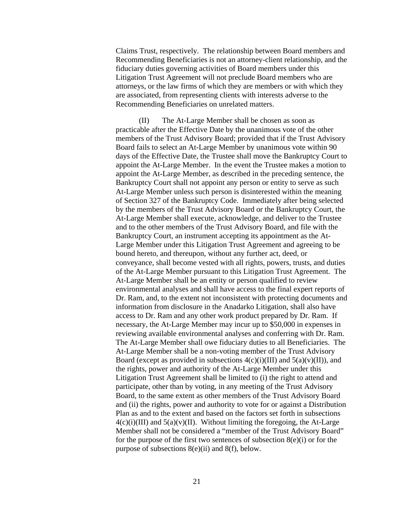Claims Trust, respectively. The relationship between Board members and Recommending Beneficiaries is not an attorney-client relationship, and the fiduciary duties governing activities of Board members under this Litigation Trust Agreement will not preclude Board members who are attorneys, or the law firms of which they are members or with which they are associated, from representing clients with interests adverse to the Recommending Beneficiaries on unrelated matters.

(II) The At-Large Member shall be chosen as soon as practicable after the Effective Date by the unanimous vote of the other members of the Trust Advisory Board; provided that if the Trust Advisory Board fails to select an At-Large Member by unanimous vote within 90 days of the Effective Date, the Trustee shall move the Bankruptcy Court to appoint the At-Large Member. In the event the Trustee makes a motion to appoint the At-Large Member, as described in the preceding sentence, the Bankruptcy Court shall not appoint any person or entity to serve as such At-Large Member unless such person is disinterested within the meaning of Section 327 of the Bankruptcy Code. Immediately after being selected by the members of the Trust Advisory Board or the Bankruptcy Court, the At-Large Member shall execute, acknowledge, and deliver to the Trustee and to the other members of the Trust Advisory Board, and file with the Bankruptcy Court, an instrument accepting its appointment as the At-Large Member under this Litigation Trust Agreement and agreeing to be bound hereto, and thereupon, without any further act, deed, or conveyance, shall become vested with all rights, powers, trusts, and duties of the At-Large Member pursuant to this Litigation Trust Agreement. The At-Large Member shall be an entity or person qualified to review environmental analyses and shall have access to the final expert reports of Dr. Ram, and, to the extent not inconsistent with protecting documents and information from disclosure in the Anadarko Litigation, shall also have access to Dr. Ram and any other work product prepared by Dr. Ram. If necessary, the At-Large Member may incur up to \$50,000 in expenses in reviewing available environmental analyses and conferring with Dr. Ram. The At-Large Member shall owe fiduciary duties to all Beneficiaries. The At-Large Member shall be a non-voting member of the Trust Advisory Board (except as provided in subsections  $4(c)(i)(III)$  and  $5(a)(v)(II)$ ), and the rights, power and authority of the At-Large Member under this Litigation Trust Agreement shall be limited to (i) the right to attend and participate, other than by voting, in any meeting of the Trust Advisory Board, to the same extent as other members of the Trust Advisory Board and (ii) the rights, power and authority to vote for or against a Distribution Plan as and to the extent and based on the factors set forth in subsections  $4(c)(i)(III)$  and  $5(a)(v)(II)$ . Without limiting the foregoing, the At-Large Member shall not be considered a "member of the Trust Advisory Board" for the purpose of the first two sentences of subsection  $8(e)(i)$  or for the purpose of subsections 8(e)(ii) and 8(f), below.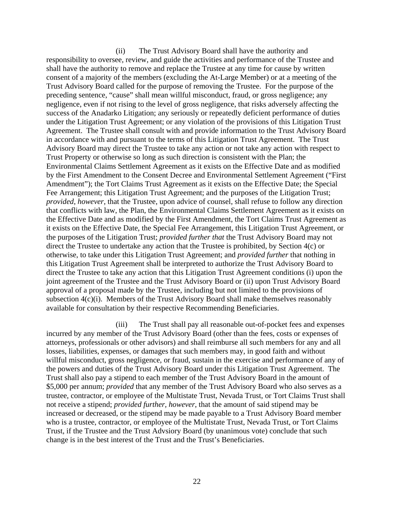(ii) The Trust Advisory Board shall have the authority and responsibility to oversee, review, and guide the activities and performance of the Trustee and shall have the authority to remove and replace the Trustee at any time for cause by written consent of a majority of the members (excluding the At-Large Member) or at a meeting of the Trust Advisory Board called for the purpose of removing the Trustee. For the purpose of the preceding sentence, "cause" shall mean willful misconduct, fraud, or gross negligence; any negligence, even if not rising to the level of gross negligence, that risks adversely affecting the success of the Anadarko Litigation; any seriously or repeatedly deficient performance of duties under the Litigation Trust Agreement; or any violation of the provisions of this Litigation Trust Agreement. The Trustee shall consult with and provide information to the Trust Advisory Board in accordance with and pursuant to the terms of this Litigation Trust Agreement. The Trust Advisory Board may direct the Trustee to take any action or not take any action with respect to Trust Property or otherwise so long as such direction is consistent with the Plan; the Environmental Claims Settlement Agreement as it exists on the Effective Date and as modified by the First Amendment to the Consent Decree and Environmental Settlement Agreement ("First Amendment"); the Tort Claims Trust Agreement as it exists on the Effective Date; the Special Fee Arrangement; this Litigation Trust Agreement; and the purposes of the Litigation Trust; *provided*, *however*, that the Trustee, upon advice of counsel, shall refuse to follow any direction that conflicts with law, the Plan, the Environmental Claims Settlement Agreement as it exists on the Effective Date and as modified by the First Amendment, the Tort Claims Trust Agreement as it exists on the Effective Date, the Special Fee Arrangement, this Litigation Trust Agreement, or the purposes of the Litigation Trust; *provided further that* the Trust Advisory Board may not direct the Trustee to undertake any action that the Trustee is prohibited, by Section 4(c) or otherwise, to take under this Litigation Trust Agreement; and *provided further* that nothing in this Litigation Trust Agreement shall be interpreted to authorize the Trust Advisory Board to direct the Trustee to take any action that this Litigation Trust Agreement conditions (i) upon the joint agreement of the Trustee and the Trust Advisory Board or (ii) upon Trust Advisory Board approval of a proposal made by the Trustee, including but not limited to the provisions of subsection 4(c)(i). Members of the Trust Advisory Board shall make themselves reasonably available for consultation by their respective Recommending Beneficiaries.

(iii) The Trust shall pay all reasonable out-of-pocket fees and expenses incurred by any member of the Trust Advisory Board (other than the fees, costs or expenses of attorneys, professionals or other advisors) and shall reimburse all such members for any and all losses, liabilities, expenses, or damages that such members may, in good faith and without willful misconduct, gross negligence, or fraud, sustain in the exercise and performance of any of the powers and duties of the Trust Advisory Board under this Litigation Trust Agreement. The Trust shall also pay a stipend to each member of the Trust Advisory Board in the amount of \$5,000 per annum; *provided* that any member of the Trust Advisory Board who also serves as a trustee, contractor, or employee of the Multistate Trust, Nevada Trust, or Tort Claims Trust shall not receive a stipend; *provided further, however*, that the amount of said stipend may be increased or decreased, or the stipend may be made payable to a Trust Advisory Board member who is a trustee, contractor, or employee of the Multistate Trust, Nevada Trust, or Tort Claims Trust, if the Trustee and the Trust Advsiory Board (by unanimous vote) conclude that such change is in the best interest of the Trust and the Trust's Beneficiaries.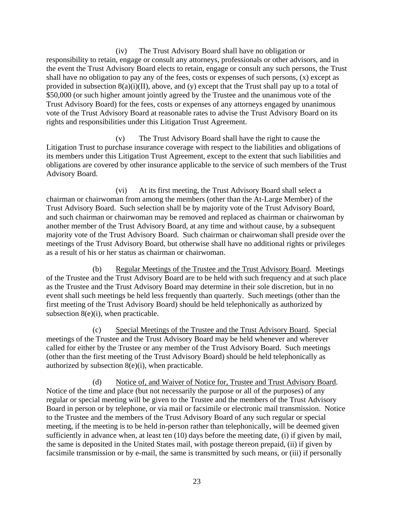(iv) The Trust Advisory Board shall have no obligation or responsibility to retain, engage or consult any attorneys, professionals or other advisors, and in the event the Trust Advisory Board elects to retain, engage or consult any such persons, the Trust shall have no obligation to pay any of the fees, costs or expenses of such persons, (x) except as provided in subsection  $8(a)(i)(II)$ , above, and (y) except that the Trust shall pay up to a total of \$50,000 (or such higher amount jointly agreed by the Trustee and the unanimous vote of the Trust Advisory Board) for the fees, costs or expenses of any attorneys engaged by unanimous vote of the Trust Advisory Board at reasonable rates to advise the Trust Advisory Board on its rights and responsibilities under this Litigation Trust Agreement.

(v) The Trust Advisory Board shall have the right to cause the Litigation Trust to purchase insurance coverage with respect to the liabilities and obligations of its members under this Litigation Trust Agreement, except to the extent that such liabilities and obligations are covered by other insurance applicable to the service of such members of the Trust Advisory Board.

(vi) At its first meeting, the Trust Advisory Board shall select a chairman or chairwoman from among the members (other than the At-Large Member) of the Trust Advisory Board. Such selection shall be by majority vote of the Trust Advisory Board, and such chairman or chairwoman may be removed and replaced as chairman or chairwoman by another member of the Trust Advisory Board, at any time and without cause, by a subsequent majority vote of the Trust Advisory Board. Such chairman or chairwoman shall preside over the meetings of the Trust Advisory Board, but otherwise shall have no additional rights or privileges as a result of his or her status as chairman or chairwoman.

(b) Regular Meetings of the Trustee and the Trust Advisory Board. Meetings of the Trustee and the Trust Advisory Board are to be held with such frequency and at such place as the Trustee and the Trust Advisory Board may determine in their sole discretion, but in no event shall such meetings be held less frequently than quarterly. Such meetings (other than the first meeting of the Trust Advisory Board) should be held telephonically as authorized by subsection 8(e)(i), when practicable.

(c) Special Meetings of the Trustee and the Trust Advisory Board. Special meetings of the Trustee and the Trust Advisory Board may be held whenever and wherever called for either by the Trustee or any member of the Trust Advisory Board. Such meetings (other than the first meeting of the Trust Advisory Board) should be held telephonically as authorized by subsection  $8(e)(i)$ , when practicable.

(d) Notice of, and Waiver of Notice for, Trustee and Trust Advisory Board. Notice of the time and place (but not necessarily the purpose or all of the purposes) of any regular or special meeting will be given to the Trustee and the members of the Trust Advisory Board in person or by telephone, or via mail or facsimile or electronic mail transmission. Notice to the Trustee and the members of the Trust Advisory Board of any such regular or special meeting, if the meeting is to be held in-person rather than telephonically, will be deemed given sufficiently in advance when, at least ten (10) days before the meeting date, (i) if given by mail, the same is deposited in the United States mail, with postage thereon prepaid, (ii) if given by facsimile transmission or by e-mail, the same is transmitted by such means, or (iii) if personally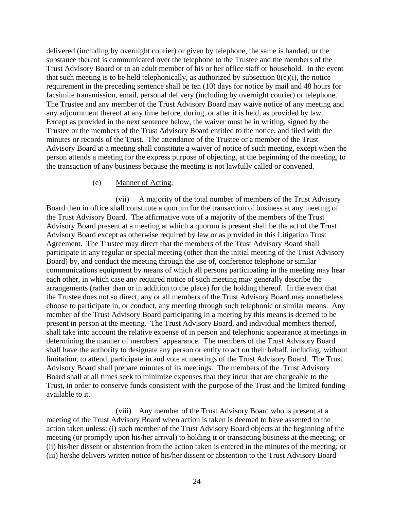delivered (including by overnight courier) or given by telephone, the same is handed, or the substance thereof is communicated over the telephone to the Trustee and the members of the Trust Advisory Board or to an adult member of his or her office staff or household. In the event that such meeting is to be held telephonically, as authorized by subsection  $8(e)(i)$ , the notice requirement in the preceding sentence shall be ten (10) days for notice by mail and 48 hours for facsimile transmission, email, personal delivery (including by overnight courier) or telephone. The Trustee and any member of the Trust Advisory Board may waive notice of any meeting and any adjournment thereof at any time before, during, or after it is held, as provided by law. Except as provided in the next sentence below, the waiver must be in writing, signed by the Trustee or the members of the Trust Advisory Board entitled to the notice, and filed with the minutes or records of the Trust. The attendance of the Trustee or a member of the Trust Advisory Board at a meeting shall constitute a waiver of notice of such meeting, except when the person attends a meeting for the express purpose of objecting, at the beginning of the meeting, to the transaction of any business because the meeting is not lawfully called or convened.

#### (e) Manner of Acting.

(vii) A majority of the total number of members of the Trust Advisory Board then in office shall constitute a quorum for the transaction of business at any meeting of the Trust Advisory Board. The affirmative vote of a majority of the members of the Trust Advisory Board present at a meeting at which a quorum is present shall be the act of the Trust Advisory Board except as otherwise required by law or as provided in this Litigation Trust Agreement. The Trustee may direct that the members of the Trust Advisory Board shall participate in any regular or special meeting (other than the initial meeting of the Trust Advisory Board) by, and conduct the meeting through the use of, conference telephone or similar communications equipment by means of which all persons participating in the meeting may hear each other, in which case any required notice of such meeting may generally describe the arrangements (rather than or in addition to the place) for the holding thereof. In the event that the Trustee does not so direct, any or all members of the Trust Advisory Board may nonetheless choose to participate in, or conduct, any meeting through such telephonic or similar means. Any member of the Trust Advisory Board participating in a meeting by this means is deemed to be present in person at the meeting. The Trust Advisory Board, and individual members thereof, shall take into account the relative expense of in person and telephonic appearance at meetings in determining the manner of members' appearance. The members of the Trust Advisory Board shall have the authority to designate any person or entity to act on their behalf, including, without limitation, to attend, participate in and vote at meetings of the Trust Advisory Board. The Trust Advisory Board shall prepare minutes of its meetings. The members of the Trust Advisory Board shall at all times seek to minimize expenses that they incur that are chargeable to the Trust, in order to conserve funds consistent with the purpose of the Trust and the limited funding available to it.

(viii) Any member of the Trust Advisory Board who is present at a meeting of the Trust Advisory Board when action is taken is deemed to have assented to the action taken unless: (i) such member of the Trust Advisory Board objects at the beginning of the meeting (or promptly upon his/her arrival) to holding it or transacting business at the meeting; or (ii) his/her dissent or abstention from the action taken is entered in the minutes of the meeting; or (iii) he/she delivers written notice of his/her dissent or abstention to the Trust Advisory Board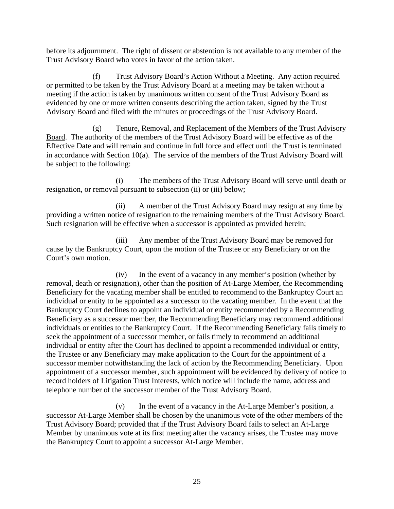before its adjournment. The right of dissent or abstention is not available to any member of the Trust Advisory Board who votes in favor of the action taken.

(f) Trust Advisory Board's Action Without a Meeting. Any action required or permitted to be taken by the Trust Advisory Board at a meeting may be taken without a meeting if the action is taken by unanimous written consent of the Trust Advisory Board as evidenced by one or more written consents describing the action taken, signed by the Trust Advisory Board and filed with the minutes or proceedings of the Trust Advisory Board.

(g) Tenure, Removal, and Replacement of the Members of the Trust Advisory Board. The authority of the members of the Trust Advisory Board will be effective as of the Effective Date and will remain and continue in full force and effect until the Trust is terminated in accordance with Section  $10(a)$ . The service of the members of the Trust Advisory Board will be subject to the following:

(i) The members of the Trust Advisory Board will serve until death or resignation, or removal pursuant to subsection (ii) or (iii) below;

(ii) A member of the Trust Advisory Board may resign at any time by providing a written notice of resignation to the remaining members of the Trust Advisory Board. Such resignation will be effective when a successor is appointed as provided herein;

(iii) Any member of the Trust Advisory Board may be removed for cause by the Bankruptcy Court, upon the motion of the Trustee or any Beneficiary or on the Court's own motion.

(iv) In the event of a vacancy in any member's position (whether by removal, death or resignation), other than the position of At-Large Member, the Recommending Beneficiary for the vacating member shall be entitled to recommend to the Bankruptcy Court an individual or entity to be appointed as a successor to the vacating member. In the event that the Bankruptcy Court declines to appoint an individual or entity recommended by a Recommending Beneficiary as a successor member, the Recommending Beneficiary may recommend additional individuals or entities to the Bankruptcy Court. If the Recommending Beneficiary fails timely to seek the appointment of a successor member, or fails timely to recommend an additional individual or entity after the Court has declined to appoint a recommended individual or entity, the Trustee or any Beneficiary may make application to the Court for the appointment of a successor member notwithstanding the lack of action by the Recommending Beneficiary. Upon appointment of a successor member, such appointment will be evidenced by delivery of notice to record holders of Litigation Trust Interests, which notice will include the name, address and telephone number of the successor member of the Trust Advisory Board.

(v) In the event of a vacancy in the At-Large Member's position, a successor At-Large Member shall be chosen by the unanimous vote of the other members of the Trust Advisory Board; provided that if the Trust Advisory Board fails to select an At-Large Member by unanimous vote at its first meeting after the vacancy arises, the Trustee may move the Bankruptcy Court to appoint a successor At-Large Member.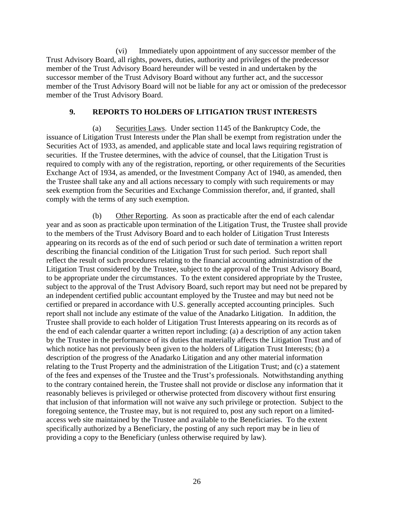(vi) Immediately upon appointment of any successor member of the Trust Advisory Board, all rights, powers, duties, authority and privileges of the predecessor member of the Trust Advisory Board hereunder will be vested in and undertaken by the successor member of the Trust Advisory Board without any further act, and the successor member of the Trust Advisory Board will not be liable for any act or omission of the predecessor member of the Trust Advisory Board.

# **9. REPORTS TO HOLDERS OF LITIGATION TRUST INTERESTS**

(a) Securities Laws. Under section 1145 of the Bankruptcy Code, the issuance of Litigation Trust Interests under the Plan shall be exempt from registration under the Securities Act of 1933, as amended, and applicable state and local laws requiring registration of securities. If the Trustee determines, with the advice of counsel, that the Litigation Trust is required to comply with any of the registration, reporting, or other requirements of the Securities Exchange Act of 1934, as amended, or the Investment Company Act of 1940, as amended, then the Trustee shall take any and all actions necessary to comply with such requirements or may seek exemption from the Securities and Exchange Commission therefor, and, if granted, shall comply with the terms of any such exemption.

(b) Other Reporting. As soon as practicable after the end of each calendar year and as soon as practicable upon termination of the Litigation Trust, the Trustee shall provide to the members of the Trust Advisory Board and to each holder of Litigation Trust Interests appearing on its records as of the end of such period or such date of termination a written report describing the financial condition of the Litigation Trust for such period. Such report shall reflect the result of such procedures relating to the financial accounting administration of the Litigation Trust considered by the Trustee, subject to the approval of the Trust Advisory Board, to be appropriate under the circumstances. To the extent considered appropriate by the Trustee, subject to the approval of the Trust Advisory Board, such report may but need not be prepared by an independent certified public accountant employed by the Trustee and may but need not be certified or prepared in accordance with U.S. generally accepted accounting principles. Such report shall not include any estimate of the value of the Anadarko Litigation. In addition, the Trustee shall provide to each holder of Litigation Trust Interests appearing on its records as of the end of each calendar quarter a written report including: (a) a description of any action taken by the Trustee in the performance of its duties that materially affects the Litigation Trust and of which notice has not previously been given to the holders of Litigation Trust Interests; (b) a description of the progress of the Anadarko Litigation and any other material information relating to the Trust Property and the administration of the Litigation Trust; and (c) a statement of the fees and expenses of the Trustee and the Trust's professionals. Notwithstanding anything to the contrary contained herein, the Trustee shall not provide or disclose any information that it reasonably believes is privileged or otherwise protected from discovery without first ensuring that inclusion of that information will not waive any such privilege or protection. Subject to the foregoing sentence, the Trustee may, but is not required to, post any such report on a limitedaccess web site maintained by the Trustee and available to the Beneficiaries. To the extent specifically authorized by a Beneficiary, the posting of any such report may be in lieu of providing a copy to the Beneficiary (unless otherwise required by law).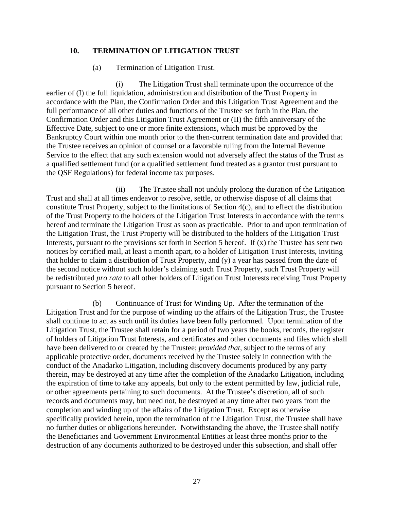#### **10. TERMINATION OF LITIGATION TRUST**

#### (a) Termination of Litigation Trust.

(i) The Litigation Trust shall terminate upon the occurrence of the earlier of (I) the full liquidation, administration and distribution of the Trust Property in accordance with the Plan, the Confirmation Order and this Litigation Trust Agreement and the full performance of all other duties and functions of the Trustee set forth in the Plan, the Confirmation Order and this Litigation Trust Agreement or (II) the fifth anniversary of the Effective Date, subject to one or more finite extensions, which must be approved by the Bankruptcy Court within one month prior to the then-current termination date and provided that the Trustee receives an opinion of counsel or a favorable ruling from the Internal Revenue Service to the effect that any such extension would not adversely affect the status of the Trust as a qualified settlement fund (or a qualified settlement fund treated as a grantor trust pursuant to the QSF Regulations) for federal income tax purposes.

(ii) The Trustee shall not unduly prolong the duration of the Litigation Trust and shall at all times endeavor to resolve, settle, or otherwise dispose of all claims that constitute Trust Property, subject to the limitations of Section 4(c), and to effect the distribution of the Trust Property to the holders of the Litigation Trust Interests in accordance with the terms hereof and terminate the Litigation Trust as soon as practicable. Prior to and upon termination of the Litigation Trust, the Trust Property will be distributed to the holders of the Litigation Trust Interests, pursuant to the provisions set forth in Section 5 hereof. If  $(x)$  the Trustee has sent two notices by certified mail, at least a month apart, to a holder of Litigation Trust Interests, inviting that holder to claim a distribution of Trust Property, and (y) a year has passed from the date of the second notice without such holder's claiming such Trust Property, such Trust Property will be redistributed *pro rata* to all other holders of Litigation Trust Interests receiving Trust Property pursuant to Section 5 hereof.

(b) Continuance of Trust for Winding Up. After the termination of the Litigation Trust and for the purpose of winding up the affairs of the Litigation Trust, the Trustee shall continue to act as such until its duties have been fully performed. Upon termination of the Litigation Trust, the Trustee shall retain for a period of two years the books, records, the register of holders of Litigation Trust Interests, and certificates and other documents and files which shall have been delivered to or created by the Trustee; *provided that,* subject to the terms of any applicable protective order, documents received by the Trustee solely in connection with the conduct of the Anadarko Litigation, including discovery documents produced by any party therein, may be destroyed at any time after the completion of the Anadarko Litigation, including the expiration of time to take any appeals, but only to the extent permitted by law, judicial rule, or other agreements pertaining to such documents. At the Trustee's discretion, all of such records and documents may, but need not, be destroyed at any time after two years from the completion and winding up of the affairs of the Litigation Trust. Except as otherwise specifically provided herein, upon the termination of the Litigation Trust, the Trustee shall have no further duties or obligations hereunder. Notwithstanding the above, the Trustee shall notify the Beneficiaries and Government Environmental Entities at least three months prior to the destruction of any documents authorized to be destroyed under this subsection, and shall offer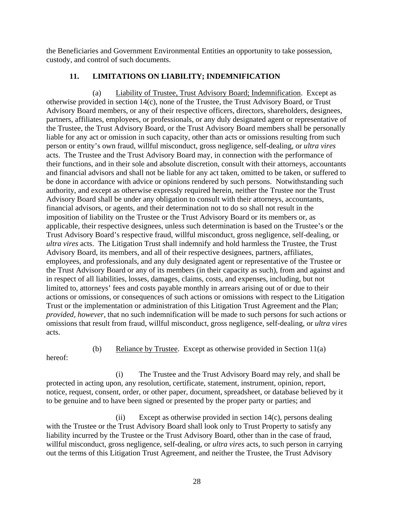the Beneficiaries and Government Environmental Entities an opportunity to take possession, custody, and control of such documents.

# **11. LIMITATIONS ON LIABILITY; INDEMNIFICATION**

Liability of Trustee, Trust Advisory Board; Indemnification. Except as otherwise provided in section 14(c), none of the Trustee, the Trust Advisory Board, or Trust Advisory Board members, or any of their respective officers, directors, shareholders, designees, partners, affiliates, employees, or professionals, or any duly designated agent or representative of the Trustee, the Trust Advisory Board, or the Trust Advisory Board members shall be personally liable for any act or omission in such capacity, other than acts or omissions resulting from such person or entity's own fraud, willful misconduct, gross negligence, self-dealing, or *ultra vires* acts. The Trustee and the Trust Advisory Board may, in connection with the performance of their functions, and in their sole and absolute discretion, consult with their attorneys, accountants and financial advisors and shall not be liable for any act taken, omitted to be taken, or suffered to be done in accordance with advice or opinions rendered by such persons. Notwithstanding such authority, and except as otherwise expressly required herein, neither the Trustee nor the Trust Advisory Board shall be under any obligation to consult with their attorneys, accountants, financial advisors, or agents, and their determination not to do so shall not result in the imposition of liability on the Trustee or the Trust Advisory Board or its members or, as applicable, their respective designees, unless such determination is based on the Trustee's or the Trust Advisory Board's respective fraud, willful misconduct, gross negligence, self-dealing, or *ultra vires* acts. The Litigation Trust shall indemnify and hold harmless the Trustee, the Trust Advisory Board, its members, and all of their respective designees, partners, affiliates, employees, and professionals, and any duly designated agent or representative of the Trustee or the Trust Advisory Board or any of its members (in their capacity as such), from and against and in respect of all liabilities, losses, damages, claims, costs, and expenses, including, but not limited to, attorneys' fees and costs payable monthly in arrears arising out of or due to their actions or omissions, or consequences of such actions or omissions with respect to the Litigation Trust or the implementation or administration of this Litigation Trust Agreement and the Plan; *provided*, *however*, that no such indemnification will be made to such persons for such actions or omissions that result from fraud, willful misconduct, gross negligence, self-dealing, or *ultra vires* acts.

hereof:

(b) Reliance by Trustee. Except as otherwise provided in Section  $11(a)$ 

(i) The Trustee and the Trust Advisory Board may rely, and shall be protected in acting upon, any resolution, certificate, statement, instrument, opinion, report, notice, request, consent, order, or other paper, document, spreadsheet, or database believed by it to be genuine and to have been signed or presented by the proper party or parties; and

(ii) Except as otherwise provided in section 14(c), persons dealing with the Trustee or the Trust Advisory Board shall look only to Trust Property to satisfy any liability incurred by the Trustee or the Trust Advisory Board, other than in the case of fraud, willful misconduct, gross negligence, self-dealing, or *ultra vires* acts, to such person in carrying out the terms of this Litigation Trust Agreement, and neither the Trustee, the Trust Advisory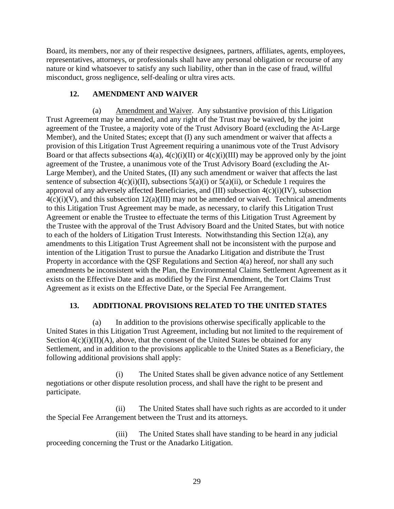Board, its members, nor any of their respective designees, partners, affiliates, agents, employees, representatives, attorneys, or professionals shall have any personal obligation or recourse of any nature or kind whatsoever to satisfy any such liability, other than in the case of fraud, willful misconduct, gross negligence, self-dealing or ultra vires acts.

# **12. AMENDMENT AND WAIVER**

(a) Amendment and Waiver. Any substantive provision of this Litigation Trust Agreement may be amended, and any right of the Trust may be waived, by the joint agreement of the Trustee, a majority vote of the Trust Advisory Board (excluding the At-Large Member), and the United States; except that (I) any such amendment or waiver that affects a provision of this Litigation Trust Agreement requiring a unanimous vote of the Trust Advisory Board or that affects subsections  $4(a)$ ,  $4(c)(i)(II)$  or  $4(c)(i)(III)$  may be approved only by the joint agreement of the Trustee, a unanimous vote of the Trust Advisory Board (excluding the At-Large Member), and the United States, (II) any such amendment or waiver that affects the last sentence of subsection  $4(c)(i)(II)$ , subsections  $5(a)(i)$  or  $5(a)(ii)$ , or Schedule 1 requires the approval of any adversely affected Beneficiaries, and (III) subsection 4(c)(i)(IV), subsection  $4(c)(i)(V)$ , and this subsection  $12(a)(III)$  may not be amended or waived. Technical amendments to this Litigation Trust Agreement may be made, as necessary, to clarify this Litigation Trust Agreement or enable the Trustee to effectuate the terms of this Litigation Trust Agreement by the Trustee with the approval of the Trust Advisory Board and the United States, but with notice to each of the holders of Litigation Trust Interests. Notwithstanding this Section 12(a), any amendments to this Litigation Trust Agreement shall not be inconsistent with the purpose and intention of the Litigation Trust to pursue the Anadarko Litigation and distribute the Trust Property in accordance with the QSF Regulations and Section 4(a) hereof, nor shall any such amendments be inconsistent with the Plan, the Environmental Claims Settlement Agreement as it exists on the Effective Date and as modified by the First Amendment, the Tort Claims Trust Agreement as it exists on the Effective Date, or the Special Fee Arrangement.

# **13. ADDITIONAL PROVISIONS RELATED TO THE UNITED STATES**

(a) In addition to the provisions otherwise specifically applicable to the United States in this Litigation Trust Agreement, including but not limited to the requirement of Section  $4(c)(i)(II)(A)$ , above, that the consent of the United States be obtained for any Settlement, and in addition to the provisions applicable to the United States as a Beneficiary, the following additional provisions shall apply:

(i) The United States shall be given advance notice of any Settlement negotiations or other dispute resolution process, and shall have the right to be present and participate.

(ii) The United States shall have such rights as are accorded to it under the Special Fee Arrangement between the Trust and its attorneys.

(iii) The United States shall have standing to be heard in any judicial proceeding concerning the Trust or the Anadarko Litigation.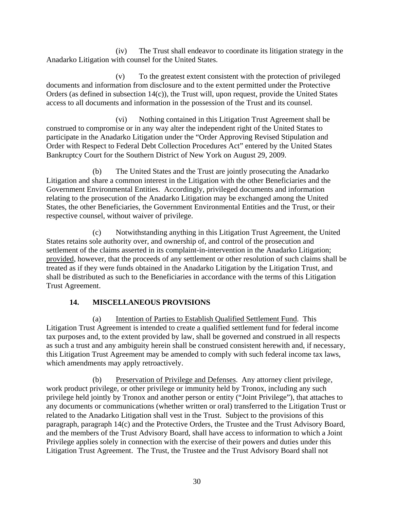(iv) The Trust shall endeavor to coordinate its litigation strategy in the Anadarko Litigation with counsel for the United States.

(v) To the greatest extent consistent with the protection of privileged documents and information from disclosure and to the extent permitted under the Protective Orders (as defined in subsection 14(c)), the Trust will, upon request, provide the United States access to all documents and information in the possession of the Trust and its counsel.

(vi) Nothing contained in this Litigation Trust Agreement shall be construed to compromise or in any way alter the independent right of the United States to participate in the Anadarko Litigation under the "Order Approving Revised Stipulation and Order with Respect to Federal Debt Collection Procedures Act" entered by the United States Bankruptcy Court for the Southern District of New York on August 29, 2009.

(b) The United States and the Trust are jointly prosecuting the Anadarko Litigation and share a common interest in the Litigation with the other Beneficiaries and the Government Environmental Entities. Accordingly, privileged documents and information relating to the prosecution of the Anadarko Litigation may be exchanged among the United States, the other Beneficiaries, the Government Environmental Entities and the Trust, or their respective counsel, without waiver of privilege.

(c) Notwithstanding anything in this Litigation Trust Agreement, the United States retains sole authority over, and ownership of, and control of the prosecution and settlement of the claims asserted in its complaint-in-intervention in the Anadarko Litigation; provided, however, that the proceeds of any settlement or other resolution of such claims shall be treated as if they were funds obtained in the Anadarko Litigation by the Litigation Trust, and shall be distributed as such to the Beneficiaries in accordance with the terms of this Litigation Trust Agreement.

# **14. MISCELLANEOUS PROVISIONS**

(a) Intention of Parties to Establish Qualified Settlement Fund. This Litigation Trust Agreement is intended to create a qualified settlement fund for federal income tax purposes and, to the extent provided by law, shall be governed and construed in all respects as such a trust and any ambiguity herein shall be construed consistent herewith and, if necessary, this Litigation Trust Agreement may be amended to comply with such federal income tax laws, which amendments may apply retroactively.

(b) Preservation of Privilege and Defenses. Any attorney client privilege, work product privilege, or other privilege or immunity held by Tronox, including any such privilege held jointly by Tronox and another person or entity ("Joint Privilege"), that attaches to any documents or communications (whether written or oral) transferred to the Litigation Trust or related to the Anadarko Litigation shall vest in the Trust. Subject to the provisions of this paragraph, paragraph 14(c) and the Protective Orders, the Trustee and the Trust Advisory Board, and the members of the Trust Advisory Board, shall have access to information to which a Joint Privilege applies solely in connection with the exercise of their powers and duties under this Litigation Trust Agreement. The Trust, the Trustee and the Trust Advisory Board shall not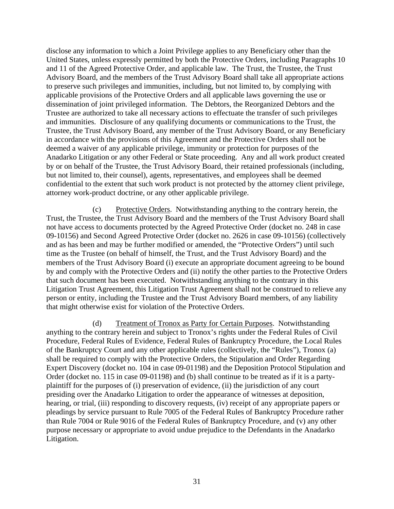disclose any information to which a Joint Privilege applies to any Beneficiary other than the United States, unless expressly permitted by both the Protective Orders, including Paragraphs 10 and 11 of the Agreed Protective Order, and applicable law. The Trust, the Trustee, the Trust Advisory Board, and the members of the Trust Advisory Board shall take all appropriate actions to preserve such privileges and immunities, including, but not limited to, by complying with applicable provisions of the Protective Orders and all applicable laws governing the use or dissemination of joint privileged information. The Debtors, the Reorganized Debtors and the Trustee are authorized to take all necessary actions to effectuate the transfer of such privileges and immunities. Disclosure of any qualifying documents or communications to the Trust, the Trustee, the Trust Advisory Board, any member of the Trust Advisory Board, or any Beneficiary in accordance with the provisions of this Agreement and the Protective Orders shall not be deemed a waiver of any applicable privilege, immunity or protection for purposes of the Anadarko Litigation or any other Federal or State proceeding. Any and all work product created by or on behalf of the Trustee, the Trust Advisory Board, their retained professionals (including, but not limited to, their counsel), agents, representatives, and employees shall be deemed confidential to the extent that such work product is not protected by the attorney client privilege, attorney work-product doctrine, or any other applicable privilege.

(c) Protective Orders. Notwithstanding anything to the contrary herein, the Trust, the Trustee, the Trust Advisory Board and the members of the Trust Advisory Board shall not have access to documents protected by the Agreed Protective Order (docket no. 248 in case 09-10156) and Second Agreed Protective Order (docket no. 2626 in case 09-10156) (collectively and as has been and may be further modified or amended, the "Protective Orders") until such time as the Trustee (on behalf of himself, the Trust, and the Trust Advisory Board) and the members of the Trust Advisory Board (i) execute an appropriate document agreeing to be bound by and comply with the Protective Orders and (ii) notify the other parties to the Protective Orders that such document has been executed. Notwithstanding anything to the contrary in this Litigation Trust Agreement, this Litigation Trust Agreement shall not be construed to relieve any person or entity, including the Trustee and the Trust Advisory Board members, of any liability that might otherwise exist for violation of the Protective Orders.

(d) Treatment of Tronox as Party for Certain Purposes. Notwithstanding anything to the contrary herein and subject to Tronox's rights under the Federal Rules of Civil Procedure, Federal Rules of Evidence, Federal Rules of Bankruptcy Procedure, the Local Rules of the Bankruptcy Court and any other applicable rules (collectively, the "Rules"), Tronox (a) shall be required to comply with the Protective Orders, the Stipulation and Order Regarding Expert Discovery (docket no. 104 in case 09-01198) and the Deposition Protocol Stipulation and Order (docket no. 115 in case 09-01198) and (b) shall continue to be treated as if it is a partyplaintiff for the purposes of (i) preservation of evidence, (ii) the jurisdiction of any court presiding over the Anadarko Litigation to order the appearance of witnesses at deposition, hearing, or trial, (iii) responding to discovery requests, (iv) receipt of any appropriate papers or pleadings by service pursuant to Rule 7005 of the Federal Rules of Bankruptcy Procedure rather than Rule 7004 or Rule 9016 of the Federal Rules of Bankruptcy Procedure, and (v) any other purpose necessary or appropriate to avoid undue prejudice to the Defendants in the Anadarko Litigation.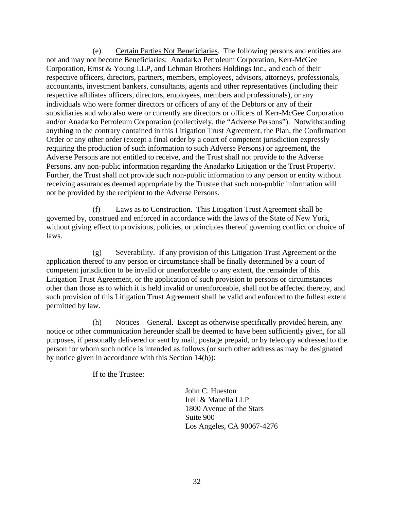(e) Certain Parties Not Beneficiaries. The following persons and entities are not and may not become Beneficiaries: Anadarko Petroleum Corporation, Kerr-McGee Corporation, Ernst & Young LLP, and Lehman Brothers Holdings Inc., and each of their respective officers, directors, partners, members, employees, advisors, attorneys, professionals, accountants, investment bankers, consultants, agents and other representatives (including their respective affiliates officers, directors, employees, members and professionals), or any individuals who were former directors or officers of any of the Debtors or any of their subsidiaries and who also were or currently are directors or officers of Kerr-McGee Corporation and/or Anadarko Petroleum Corporation (collectively, the "Adverse Persons"). Notwithstanding anything to the contrary contained in this Litigation Trust Agreement, the Plan, the Confirmation Order or any other order (except a final order by a court of competent jurisdiction expressly requiring the production of such information to such Adverse Persons) or agreement, the Adverse Persons are not entitled to receive, and the Trust shall not provide to the Adverse Persons, any non-public information regarding the Anadarko Litigation or the Trust Property. Further, the Trust shall not provide such non-public information to any person or entity without receiving assurances deemed appropriate by the Trustee that such non-public information will not be provided by the recipient to the Adverse Persons.

(f) Laws as to Construction. This Litigation Trust Agreement shall be governed by, construed and enforced in accordance with the laws of the State of New York, without giving effect to provisions, policies, or principles thereof governing conflict or choice of laws.

(g) Severability. If any provision of this Litigation Trust Agreement or the application thereof to any person or circumstance shall be finally determined by a court of competent jurisdiction to be invalid or unenforceable to any extent, the remainder of this Litigation Trust Agreement, or the application of such provision to persons or circumstances other than those as to which it is held invalid or unenforceable, shall not be affected thereby, and such provision of this Litigation Trust Agreement shall be valid and enforced to the fullest extent permitted by law.

(h) Notices – General. Except as otherwise specifically provided herein, any notice or other communication hereunder shall be deemed to have been sufficiently given, for all purposes, if personally delivered or sent by mail, postage prepaid, or by telecopy addressed to the person for whom such notice is intended as follows (or such other address as may be designated by notice given in accordance with this Section 14(h)):

If to the Trustee:

John C. Hueston Irell & Manella LLP 1800 Avenue of the Stars Suite 900 Los Angeles, CA 90067-4276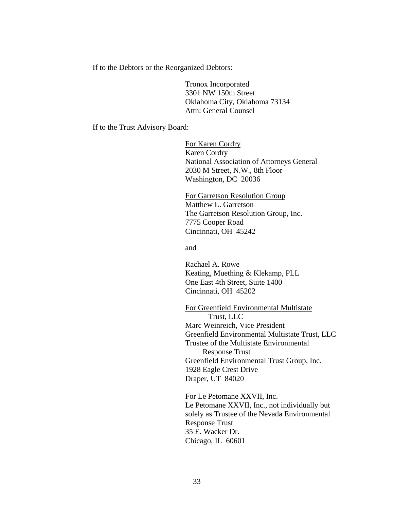If to the Debtors or the Reorganized Debtors:

Tronox Incorporated 3301 NW 150th Street Oklahoma City, Oklahoma 73134 Attn: General Counsel

If to the Trust Advisory Board:

For Karen Cordry Karen Cordry National Association of Attorneys General 2030 M Street, N.W., 8th Floor Washington, DC 20036

For Garretson Resolution Group Matthew L. Garretson The Garretson Resolution Group, Inc. 7775 Cooper Road Cincinnati, OH 45242

and

Rachael A. Rowe Keating, Muething & Klekamp, PLL One East 4th Street, Suite 1400 Cincinnati, OH 45202

For Greenfield Environmental Multistate Trust, LLC Marc Weinreich, Vice President Greenfield Environmental Multistate Trust, LLC Trustee of the Multistate Environmental Response Trust Greenfield Environmental Trust Group, Inc. 1928 Eagle Crest Drive Draper, UT 84020

For Le Petomane XXVII, Inc. Le Petomane XXVII, Inc., not individually but solely as Trustee of the Nevada Environmental Response Trust 35 E. Wacker Dr.

Chicago, IL 60601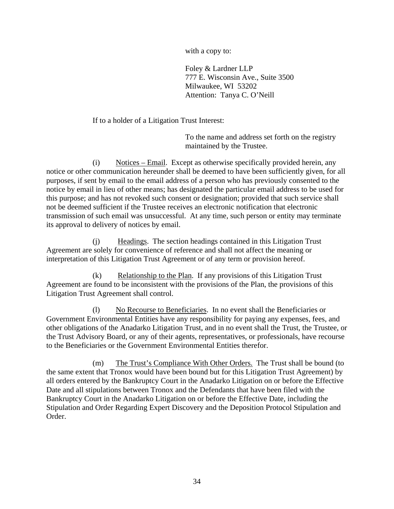with a copy to:

Foley & Lardner LLP 777 E. Wisconsin Ave., Suite 3500 Milwaukee, WI 53202 Attention: Tanya C. O'Neill

#### If to a holder of a Litigation Trust Interest:

To the name and address set forth on the registry maintained by the Trustee.

(i) Notices – Email. Except as otherwise specifically provided herein, any notice or other communication hereunder shall be deemed to have been sufficiently given, for all purposes, if sent by email to the email address of a person who has previously consented to the notice by email in lieu of other means; has designated the particular email address to be used for this purpose; and has not revoked such consent or designation; provided that such service shall not be deemed sufficient if the Trustee receives an electronic notification that electronic transmission of such email was unsuccessful. At any time, such person or entity may terminate its approval to delivery of notices by email.

(j) Headings. The section headings contained in this Litigation Trust Agreement are solely for convenience of reference and shall not affect the meaning or interpretation of this Litigation Trust Agreement or of any term or provision hereof.

(k) Relationship to the Plan. If any provisions of this Litigation Trust Agreement are found to be inconsistent with the provisions of the Plan, the provisions of this Litigation Trust Agreement shall control.

(l) No Recourse to Beneficiaries. In no event shall the Beneficiaries or Government Environmental Entities have any responsibility for paying any expenses, fees, and other obligations of the Anadarko Litigation Trust, and in no event shall the Trust, the Trustee, or the Trust Advisory Board, or any of their agents, representatives, or professionals, have recourse to the Beneficiaries or the Government Environmental Entities therefor.

(m) The Trust's Compliance With Other Orders. The Trust shall be bound (to the same extent that Tronox would have been bound but for this Litigation Trust Agreement) by all orders entered by the Bankruptcy Court in the Anadarko Litigation on or before the Effective Date and all stipulations between Tronox and the Defendants that have been filed with the Bankruptcy Court in the Anadarko Litigation on or before the Effective Date, including the Stipulation and Order Regarding Expert Discovery and the Deposition Protocol Stipulation and Order.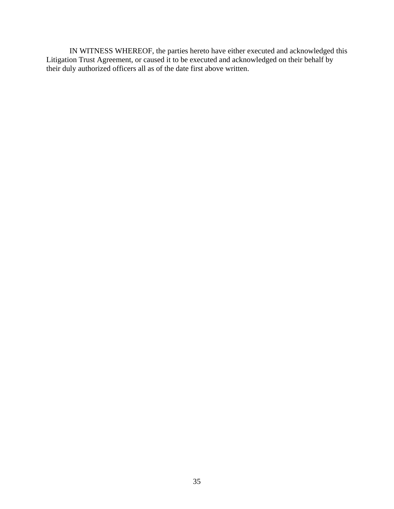IN WITNESS WHEREOF, the parties hereto have either executed and acknowledged this Litigation Trust Agreement, or caused it to be executed and acknowledged on their behalf by their duly authorized officers all as of the date first above written.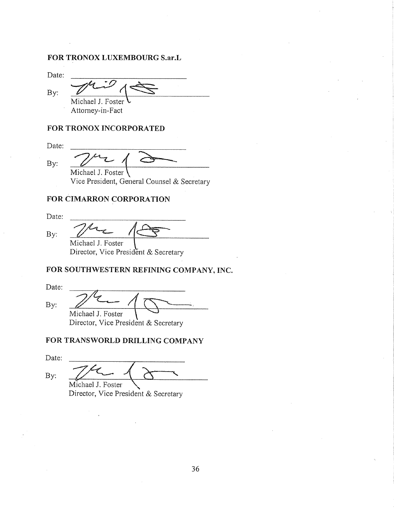#### FOR TRONOX LUXEMBOURG S.ar.L

Date:

 $By:$ 

Michael J. Foster Attorney-in-Fact

#### FOR TRONOX INCORPORATED

Date:

By:

Michael J. Foster

Vice President, General Counsel & Secretary

#### FOR CIMARRON CORPORATION

Date:

By:

Michael J. Foster

Director, Vice President & Secretary

# FOR SOUTHWESTERN REFINING COMPANY, INC.

Date:  $By:$ Michael J. Foster

Director, Vice President & Secretary

# FOR TRANSWORLD DRILLING COMPANY

Date:

By: Michael J. Foster

Director, Vice President & Secretary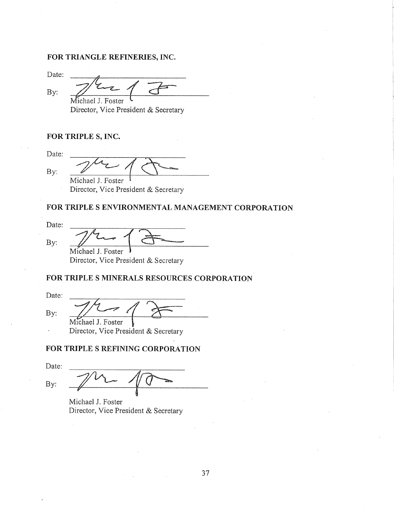#### FOR TRIANGLE REFINERIES, INC.

Date:

By: Michael J. Foster

Director, Vice President & Secretary

#### FOR TRIPLE S, INC.

Date: By: Michael J. Foster

Director, Vice President & Secretary

# FOR TRIPLE S ENVIRONMENTAL MANAGEMENT CORPORATION

Date:

By:

Michael J. Foster

Director, Vice President & Secretary

# FOR TRIPLE S MINERALS RESOURCES CORPORATION

Date: By: Michael J. Foster

Director, Vice President & Secretary

# FOR TRIPLE S REFINING CORPORATION

Date:  $By:$ 

Michael J. Foster Director, Vice President & Secretary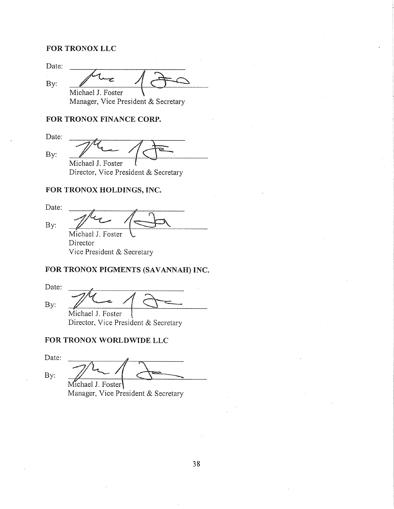#### FOR TRONOX LLC

| Manager, Vice President & Secretary |
|-------------------------------------|

#### FOR TRONOX FINANCE CORP.

Date:

By:

Michael J. Foster

Director, Vice President & Secretary

# FOR TRONOX HOLDINGS, INC.

Date:  $By:$ Michael J. Foster

Director Vice President & Secretary

# FOR TRONOX PIGMENTS (SAVANNAH) INC.

Date: By: Michael J. Foster

Director, Vice President & Secretary

# FOR TRONOX WORLDWIDE LLC

Date:

 $By:$ 

Michael J. Foster

Manager, Vice President & Secretary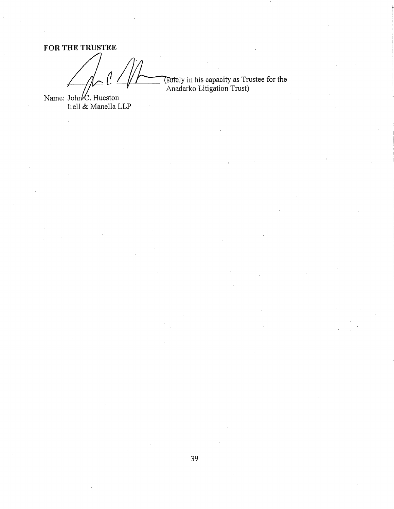FOR THE TRUSTEE (solely in his capacity as Trustee for the<br>Anadarko Litigation Trust)

Name: John  $K$ . Hueston<br>Irell & Manella LLP

39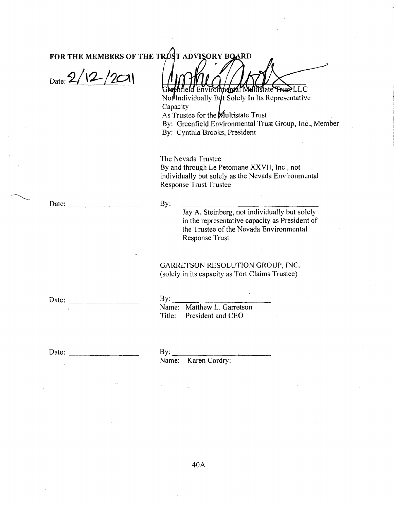$_{\text{Date:}}2/12/201$ 

tistate Frust LLC mdnrál í

Notlindividually But Solely In Its Representative Capacity

As Trustee for the Multistate Trust

By: Greenfield Environmental Trust Group, Inc., Member By: Cynthia Brooks, President

The Nevada Trustee By and through Le Petomane XXVII, Inc., not individually but solely as the Nevada Environmental **Response Trust Trustee** 

By:

Jay A. Steinberg, not individually but solely in the representative capacity as President of the Trustee of the Nevada Environmental **Response Trust** 

GARRETSON RESOLUTION GROUP, INC. (solely in its capacity as Tort Claims Trustee)

Date:

 $\sim 10^{-1}$ 

Date:

 $By:$ 

Name: Matthew L. Garretson Title: President and CEO

 $By:$ 

Name: Karen Cordry: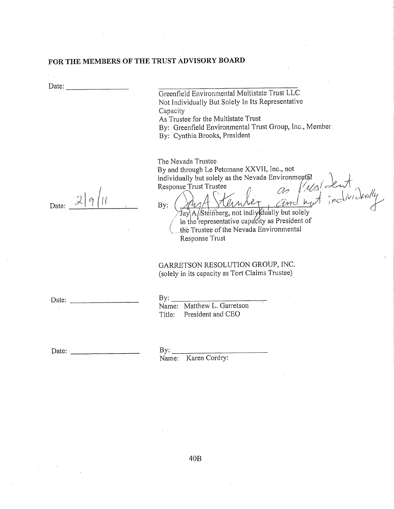Date:

 $\mathcal{L}(\mathcal{L})$ 

Greenfield Environmental Multistate Trust LLC Not Individually But Solely In Its Representative Capacity

As Trustee for the Multistate Trust

By: Greenfield Environmental Trust Group, Inc., Member

By: Cynthia Brooks, President

The Nevada Trustee

By and through Le Petomane XXVII, Inc., not individually but solely as the Nevada Environmental as fusident Response Trust Trustee

Date:

 $\theta$ AN  $By:$ Jay\A/Steinberg, not individually but solely in the representative capacity as President of the Trustee of the Nevada Environmental Response Trust

# GARRETSON RESOLUTION GROUP, INC. (solely in its capacity as Tort Claims Trustee)

Date:

 $By:$ 

Name: Matthew L. Garretson Title: President and CEO

Date:

 $By:$ 

Name: Karen Cordry: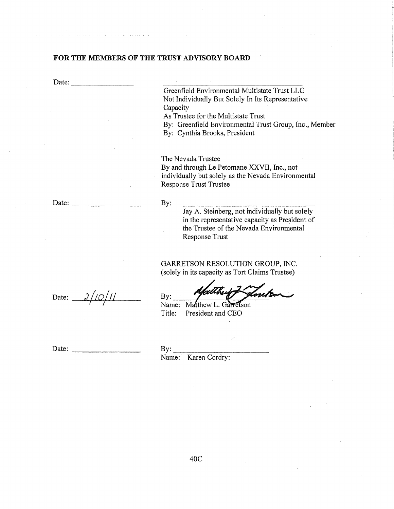By:

By:

Date:

Greenfield Environmental Multistate Trust LLC Not Individually But Solely In Its Representative Capacity

As Trustee for the Multistate Trust

By: Greenfield Environmental Trust Group, Inc., Member

Jay A. Steinberg, not individually but solely in the representative capacity as President of the Trustee of the Nevada Environmental

By: Cynthia Brooks, President

The Nevada Trustee By and through Le Petomane XXVII, Inc., not individually but solely as the Nevada Environmental **Response Trust Trustee** 

Date:

Date:  $2/10/11$ 

GARRETSON RESOLUTION GROUP, INC. (solely in its capacity as Tort Claims Trustee)

Name: Matthew L. Garretson Title: President and CEO

**Response Trust** 

Date:

 $By:$ Name: Karen Cordry: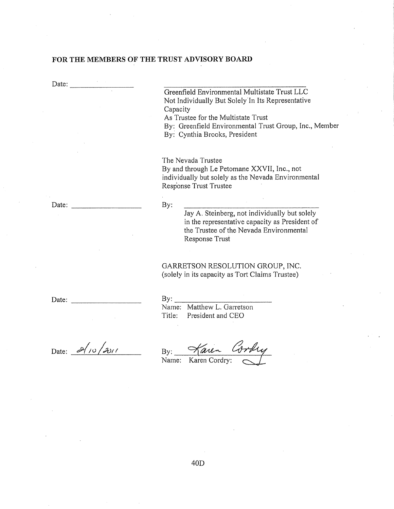Date: Greenfield Environmental Multistate Trust LLC Not Individually But Solely In Its Representative Capacity As Trustee for the Multistate Trust By: Greenfield Environmental Trust Group, Inc., Member By: Cynthia Brooks, President The Nevada Trustee By and through Le Petomane XXVII, Inc., not individually but solely as the Nevada Environmental Response Trust Trustee By: Date: Jay A. Steinberg, not individually but solely in the representative capacity as President of the Trustee of the Nevada Environmental Response Trust GARRETSON RESOLUTION GROUP, INC. (solely in its capacity as Tort Claims Trustee)  $Bv$ Date:

Date:  $\partial / \partial / \partial$ 

| <u>. .</u> . |                            |
|--------------|----------------------------|
|              | Name: Matthew L. Garretson |
| Title:       | President and CEO          |

aren  $By:$ 

Name: Karen Cordry: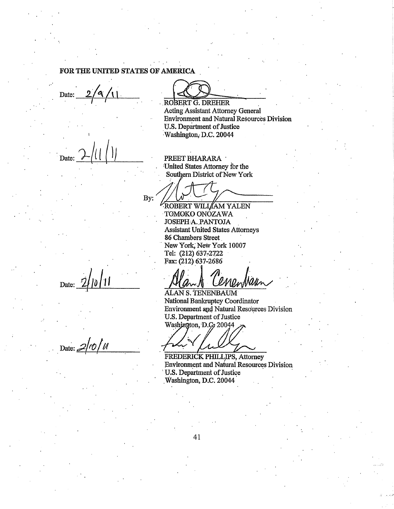#### FOR THE UNITED STATES OF AMERICA

Date:

Date:

ROBERT G. DREHER

Acting Assistant Attorney General **Environment and Natural Resources Division** U.S. Department of Justice Washington, D.C. 20044

PREET BHARARA United States Attorney for the Southern District of New York

By:

ROBERT WILLAM YALEN TOMOKO ONÓZAWA JOSEPH A. PANTOJA **Assistant United States Attorneys** 86 Chambers Street New York, New York 10007 Tel: (212) 637-2722 Fax: (212) 637-2686

Cenentian **ALAN S. TENENBAUM** National Bankruptcy Coordinator Environment and Natural Resources Division U.S. Department of Justice Washington, D.C. 20044

FREDERICK PHILLIPS, Attorney **Environment and Natural Resources Division** U.S. Department of Justice Washington, D.C. 20044

Date:

Date:  $2/10/u$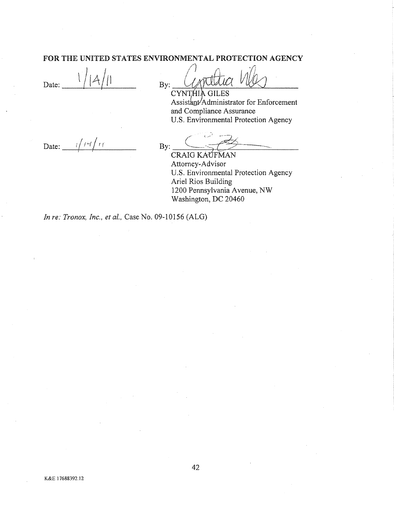#### FOR THE UNITED STATES ENVIRONMENTAL PROTECTION AGENCY

Date:

 $By:$ 

CYNTHIA GILES Assistant/Administrator for Enforcement and Compliance Assurance U.S. Environmental Protection Agency

Date:

 $By:$ 

**CRAIG KAUFMAN** Attorney-Advisor U.S. Environmental Protection Agency Ariel Rios Building 1200 Pennsylvania Avenue, NW Washington, DC 20460

In re: Tronox, Inc., et al., Case No. 09-10156 (ALG)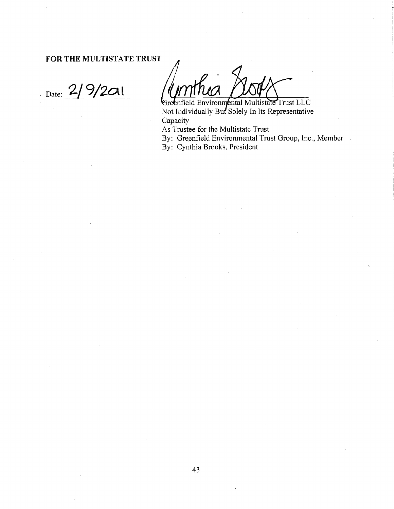FOR THE MULTISTATE TRUST

 $9/201$ Date:  $\frac{2}{ }$ 

Greenfield Environmental Multistate Trust LLC<br>Not Individually But Solely In Its Representative Capacity

As Trustee for the Multistate Trust

By: Greenfield Environmental Trust Group, Inc., Member

By: Cynthia Brooks, President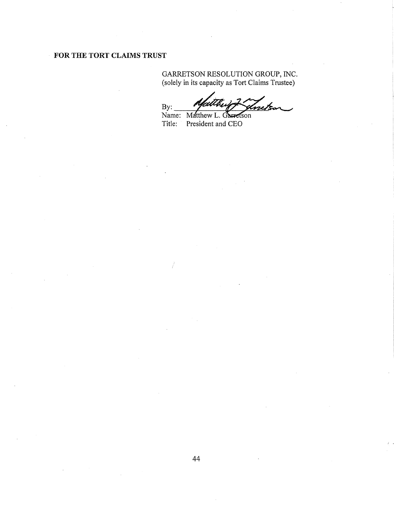# FOR THE TORT CLAIMS TRUST

# GARRETSON RESOLUTION GROUP, INC.<br>(solely in its capacity as Tort Claims Trustee)

 $By:$ nis

Name: Matthew L. Garretson Title: President and CEO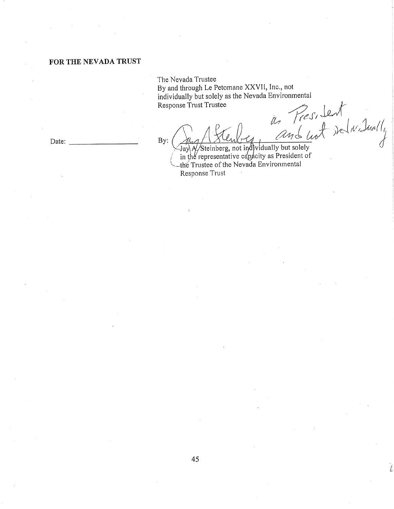#### FOR THE NEVADA TRUST

The Nevada Trustee

 $By:$ 

By and through Le Petomane XXVII, Inc., not individually but solely as the Nevada Environmental Response Trust Trustee

iles Press, Lent<br>Jay of Steinberg, not individually but solely<br>in the representative capacity as President of<br>the Trustee of the Nevada Environmental<br>Response Trust

Response Trust

Date: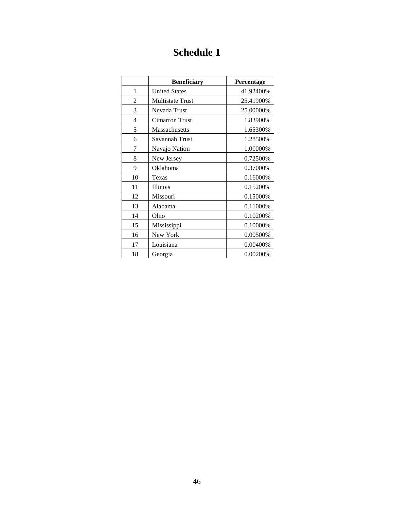# **Schedule 1**

|    | <b>Beneficiary</b>      | Percentage |
|----|-------------------------|------------|
| 1  | <b>United States</b>    | 41.92400%  |
| 2  | <b>Multistate Trust</b> | 25.41900%  |
| 3  | Nevada Trust            | 25.00000%  |
| 4  | <b>Cimarron Trust</b>   | 1.83900%   |
| 5  | Massachusetts           | 1.65300%   |
| 6  | Savannah Trust          | 1.28500%   |
| 7  | Navajo Nation           | 1.00000%   |
| 8  | New Jersey              | 0.72500%   |
| 9  | Oklahoma                | 0.37000%   |
| 10 | Texas                   | 0.16000%   |
| 11 | <b>Illinois</b>         | 0.15200%   |
| 12 | Missouri                | 0.15000%   |
| 13 | Alabama                 | 0.11000%   |
| 14 | Ohio                    | 0.10200%   |
| 15 | Mississippi             | 0.10000%   |
| 16 | New York                | 0.00500%   |
| 17 | Louisiana               | 0.00400%   |
| 18 | Georgia                 | 0.00200%   |